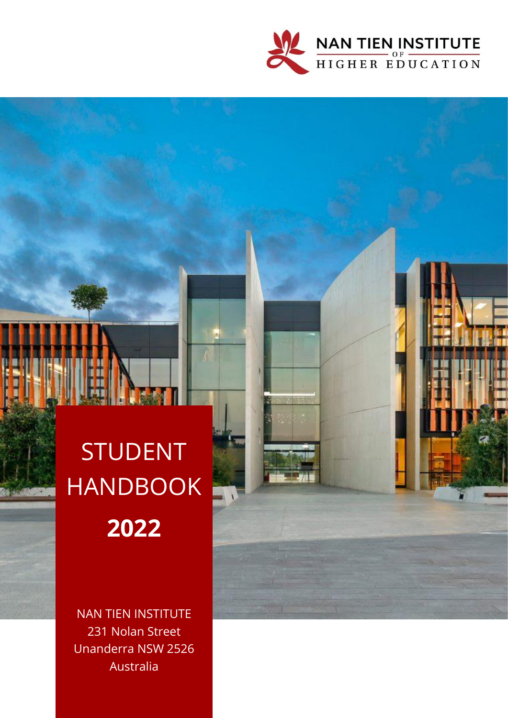

# STUDENT HANDBOOK **2022**

NAN TIEN INSTITUTE 231 Nolan Street Unanderra NSW 2526 Australia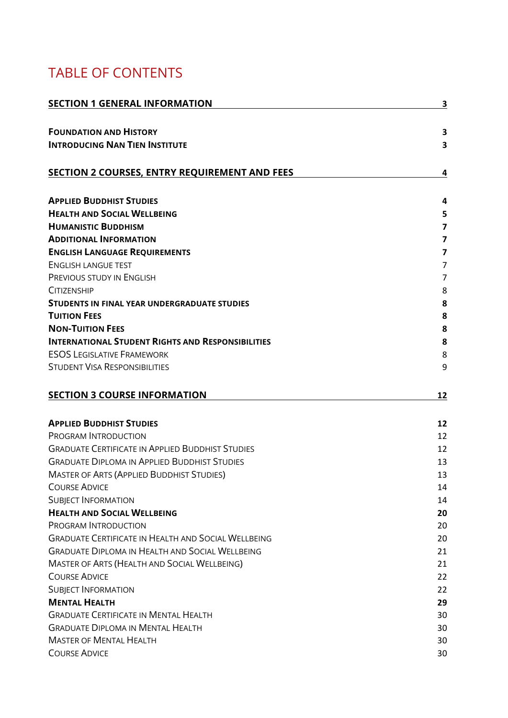# TABLE OF CONTENTS

| <b>SECTION 1 GENERAL INFORMATION</b>                       | 3                       |
|------------------------------------------------------------|-------------------------|
| <b>FOUNDATION AND HISTORY</b>                              | $\overline{\mathbf{3}}$ |
| <b>INTRODUCING NAN TIEN INSTITUTE</b>                      | 3                       |
| <b>SECTION 2 COURSES, ENTRY REQUIREMENT AND FEES</b>       | 4                       |
| <b>APPLIED BUDDHIST STUDIES</b>                            | 4                       |
| <b>HEALTH AND SOCIAL WELLBEING</b>                         | 5                       |
| <b>HUMANISTIC BUDDHISM</b>                                 | $\overline{7}$          |
| <b>ADDITIONAL INFORMATION</b>                              | $\overline{\mathbf{z}}$ |
| <b>ENGLISH LANGUAGE REQUIREMENTS</b>                       | $\overline{\mathbf{z}}$ |
| <b>ENGLISH LANGUE TEST</b>                                 | $\overline{7}$          |
| PREVIOUS STUDY IN ENGLISH                                  | $\overline{7}$          |
| <b>CITIZENSHIP</b>                                         | 8                       |
| STUDENTS IN FINAL YEAR UNDERGRADUATE STUDIES               | 8                       |
| <b>TUITION FEES</b>                                        | 8                       |
| <b>NON-TUITION FEES</b>                                    | 8                       |
| <b>INTERNATIONAL STUDENT RIGHTS AND RESPONSIBILITIES</b>   | 8                       |
| <b>ESOS LEGISLATIVE FRAMEWORK</b>                          | 8                       |
| <b>STUDENT VISA RESPONSIBILITIES</b>                       | 9                       |
| <b>SECTION 3 COURSE INFORMATION</b>                        | 12                      |
| <b>APPLIED BUDDHIST STUDIES</b>                            | 12                      |
| PROGRAM INTRODUCTION                                       | 12                      |
| <b>GRADUATE CERTIFICATE IN APPLIED BUDDHIST STUDIES</b>    | 12                      |
| <b>GRADUATE DIPLOMA IN APPLIED BUDDHIST STUDIES</b>        | 13                      |
| <b>MASTER OF ARTS (APPLIED BUDDHIST STUDIES)</b>           | 13                      |
| <b>COURSE ADVICE</b>                                       | 14                      |
| <b>SUBJECT INFORMATION</b>                                 | 14                      |
| <b>HEALTH AND SOCIAL WELLBEING</b>                         | 20                      |
| PROGRAM INTRODUCTION                                       | 20                      |
| <b>GRADUATE CERTIFICATE IN HEALTH AND SOCIAL WELLBEING</b> | 20                      |
| <b>GRADUATE DIPLOMA IN HEALTH AND SOCIAL WELLBEING</b>     | 21                      |
| MASTER OF ARTS (HEALTH AND SOCIAL WELLBEING)               | 21                      |
| <b>COURSE ADVICE</b>                                       | 22                      |
| <b>SUBJECT INFORMATION</b>                                 | 22                      |
| <b>MENTAL HEALTH</b>                                       | 29                      |
| <b>GRADUATE CERTIFICATE IN MENTAL HEALTH</b>               | 30                      |
| <b>GRADUATE DIPLOMA IN MENTAL HEALTH</b>                   | 30                      |
| <b>MASTER OF MENTAL HEALTH</b>                             | 30                      |
| <b>COURSE ADVICE</b>                                       | 30                      |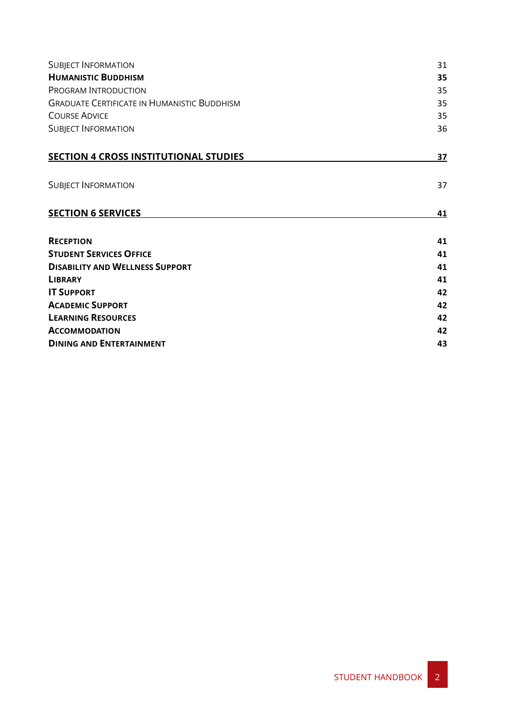| <b>SUBJECT INFORMATION</b>                         | 31 |
|----------------------------------------------------|----|
| <b>HUMANISTIC BUDDHISM</b>                         | 35 |
| PROGRAM INTRODUCTION                               | 35 |
| <b>GRADUATE CERTIFICATE IN HUMANISTIC BUDDHISM</b> | 35 |
| <b>COURSE ADVICE</b>                               | 35 |
| <b>SUBJECT INFORMATION</b>                         | 36 |
| <b>SECTION 4 CROSS INSTITUTIONAL STUDIES</b>       | 37 |
| <b>SUBJECT INFORMATION</b>                         | 37 |
| <b>SECTION 6 SERVICES</b>                          | 41 |
| <b>RECEPTION</b>                                   | 41 |
| <b>STUDENT SERVICES OFFICE</b>                     | 41 |
| <b>DISABILITY AND WELLNESS SUPPORT</b>             | 41 |
| <b>LIBRARY</b>                                     | 41 |
| <b>IT SUPPORT</b>                                  | 42 |
| <b>ACADEMIC SUPPORT</b>                            | 42 |
| <b>LEARNING RESOURCES</b>                          | 42 |
| <b>ACCOMMODATION</b>                               | 42 |
| <b>DINING AND ENTERTAINMENT</b>                    | 43 |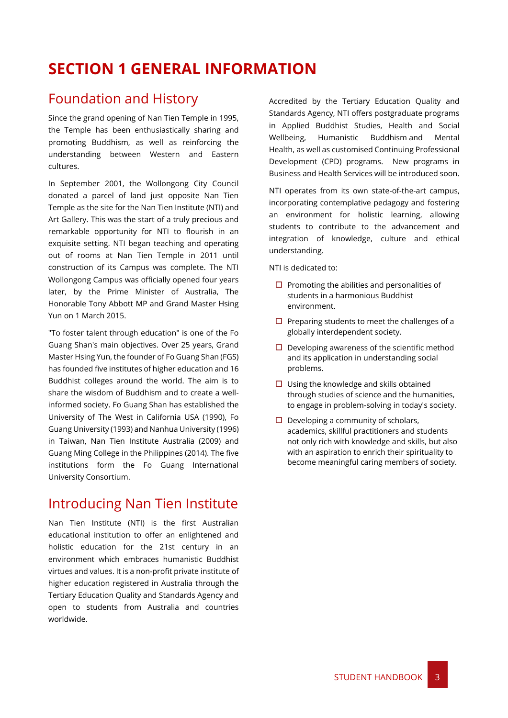# <span id="page-3-0"></span>**SECTION 1 GENERAL INFORMATION**

# <span id="page-3-1"></span>Foundation and History

Since the grand opening of Nan Tien Temple in 1995, the Temple has been enthusiastically sharing and promoting Buddhism, as well as reinforcing the understanding between Western and Eastern cultures.

In September 2001, the Wollongong City Council donated a parcel of land just opposite Nan Tien Temple as the site for the Nan Tien Institute (NTI) and Art Gallery. This was the start of a truly precious and remarkable opportunity for NTI to flourish in an exquisite setting. NTI began teaching and operating out of rooms at Nan Tien Temple in 2011 until construction of its Campus was complete. The NTI Wollongong Campus was officially opened four years later, by the Prime Minister of Australia, The Honorable Tony Abbott MP and Grand Master Hsing Yun on 1 March 2015.

"To foster talent through education" is one of the Fo Guang Shan's main objectives. Over 25 years, Grand Master Hsing Yun, the founder of Fo Guang Shan (FGS) has founded five institutes of higher education and 16 Buddhist colleges around the world. The aim is to share the wisdom of Buddhism and to create a wellinformed society. Fo Guang Shan has established the University of The West in California USA (1990), Fo Guang University (1993) and Nanhua University (1996) in Taiwan, Nan Tien Institute Australia (2009) and Guang Ming College in the Philippines (2014). The five institutions form the Fo Guang International University Consortium.

# <span id="page-3-2"></span>Introducing Nan Tien Institute

Nan Tien Institute (NTI) is the first Australian educational institution to offer an enlightened and holistic education for the 21st century in an environment which embraces humanistic Buddhist virtues and values. It is a non-profit private institute of higher education registered in Australia through the Tertiary Education Quality and Standards Agency and open to students from Australia and countries worldwide.

Accredited by the Tertiary Education Quality and Standards Agency, NTI offers postgraduate programs in [Applied Buddhist Studies,](https://www.nantien.edu.au/courses/postgraduate-courses/applied-buddhist-studies) [Health and Social](https://www.nantien.edu.au/courses/postgraduate-courses/health-and-social-wellbeing)  [Wellbeing,](https://www.nantien.edu.au/courses/postgraduate-courses/health-and-social-wellbeing) [Humanistic Buddhism](https://www.nantien.edu.au/courses/postgraduate-courses/humanistic-buddhism) and [Mental](https://www.nantien.edu.au/courses/postgraduate-courses/mental_health)  [Health,](https://www.nantien.edu.au/courses/postgraduate-courses/mental_health) as well as customise[d Continuing Professional](https://www.nantien.edu.au/courses/professional-development)  [Development](https://www.nantien.edu.au/courses/professional-development) (CPD) programs. New programs in Business and Health Services will be introduced soon.

NTI operates from its own state-of-the-art campus, incorporating contemplative pedagogy and fostering an environment for holistic learning, allowing students to contribute to the advancement and integration of knowledge, culture and ethical understanding.

NTI is dedicated to:

- $\Box$  Promoting the abilities and personalities of students in a harmonious Buddhist environment.
- $\square$  Preparing students to meet the challenges of a globally interdependent society.
- $\square$  Developing awareness of the scientific method and its application in understanding social problems.
- $\Box$  Using the knowledge and skills obtained through studies of science and the humanities, to engage in problem-solving in today's society.
- $\Box$  Developing a community of scholars, academics, skillful practitioners and students not only rich with knowledge and skills, but also with an aspiration to enrich their spirituality to become meaningful caring members of society.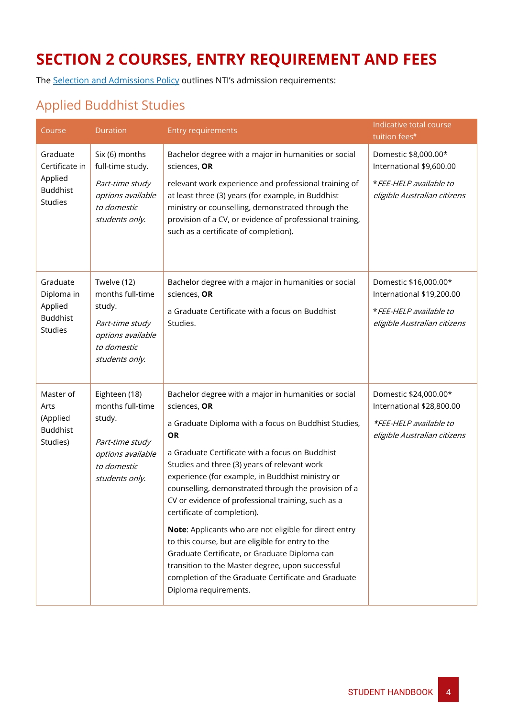# <span id="page-4-0"></span>**SECTION 2 COURSES, ENTRY REQUIREMENT AND FEES**

The [Selection and Admissions Policy](https://policy.nantien.edu.au/student-services/selection-and-admission-policy) outlines NTI's admission requirements:

# <span id="page-4-1"></span>Applied Buddhist Studies

| Course                                                                     | Duration                                                                                                             | <b>Entry requirements</b>                                                                                                                                                                                                                                                                                                                                                                                                                                                                                                                                                                                                                                                                                                                         | Indicative total course<br>tuition fees <sup>#</sup>                                                          |
|----------------------------------------------------------------------------|----------------------------------------------------------------------------------------------------------------------|---------------------------------------------------------------------------------------------------------------------------------------------------------------------------------------------------------------------------------------------------------------------------------------------------------------------------------------------------------------------------------------------------------------------------------------------------------------------------------------------------------------------------------------------------------------------------------------------------------------------------------------------------------------------------------------------------------------------------------------------------|---------------------------------------------------------------------------------------------------------------|
| Graduate<br>Certificate in<br>Applied<br><b>Buddhist</b><br><b>Studies</b> | Six (6) months<br>full-time study.                                                                                   | Bachelor degree with a major in humanities or social<br>sciences, OR                                                                                                                                                                                                                                                                                                                                                                                                                                                                                                                                                                                                                                                                              | Domestic \$8,000.00*<br>International \$9,600.00                                                              |
|                                                                            | Part-time study<br>options available<br>to domestic<br>students only.                                                | relevant work experience and professional training of<br>at least three (3) years (for example, in Buddhist<br>ministry or counselling, demonstrated through the<br>provision of a CV, or evidence of professional training,<br>such as a certificate of completion).                                                                                                                                                                                                                                                                                                                                                                                                                                                                             | * FEE-HELP available to<br>eligible Australian citizens                                                       |
| Graduate<br>Diploma in<br>Applied<br><b>Buddhist</b><br><b>Studies</b>     | Twelve (12)<br>months full-time<br>study.<br>Part-time study<br>options available<br>to domestic                     | Bachelor degree with a major in humanities or social<br>sciences, OR<br>a Graduate Certificate with a focus on Buddhist<br>Studies.                                                                                                                                                                                                                                                                                                                                                                                                                                                                                                                                                                                                               | Domestic \$16,000.00*<br>International \$19,200.00<br>* FEE-HELP available to<br>eligible Australian citizens |
|                                                                            | students only.                                                                                                       |                                                                                                                                                                                                                                                                                                                                                                                                                                                                                                                                                                                                                                                                                                                                                   |                                                                                                               |
| Master of<br>Arts<br>(Applied<br><b>Buddhist</b><br>Studies)               | Eighteen (18)<br>months full-time<br>study.<br>Part-time study<br>options available<br>to domestic<br>students only. | Bachelor degree with a major in humanities or social<br>sciences, OR<br>a Graduate Diploma with a focus on Buddhist Studies,<br><b>OR</b><br>a Graduate Certificate with a focus on Buddhist<br>Studies and three (3) years of relevant work<br>experience (for example, in Buddhist ministry or<br>counselling, demonstrated through the provision of a<br>CV or evidence of professional training, such as a<br>certificate of completion).<br>Note: Applicants who are not eligible for direct entry<br>to this course, but are eligible for entry to the<br>Graduate Certificate, or Graduate Diploma can<br>transition to the Master degree, upon successful<br>completion of the Graduate Certificate and Graduate<br>Diploma requirements. | Domestic \$24,000.00*<br>International \$28,800.00<br>*FEE-HELP available to<br>eligible Australian citizens  |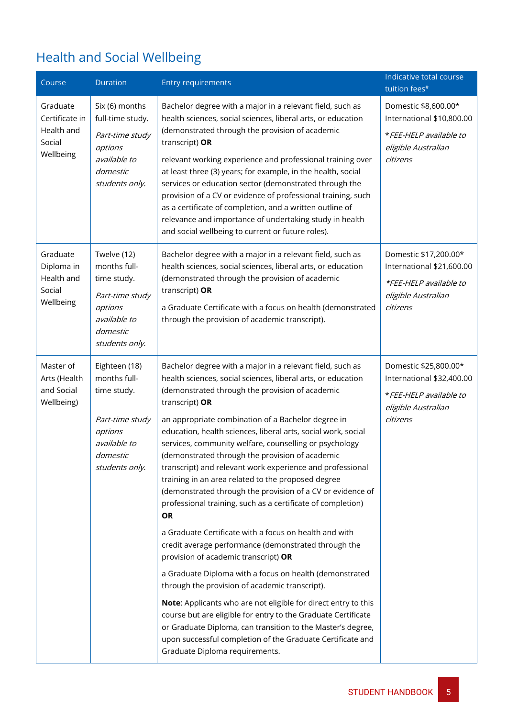# <span id="page-5-0"></span>Health and Social Wellbeing

| Course                                                          | <b>Duration</b>                                                                                                          | <b>Entry requirements</b>                                                                                                                                                                                                                                                                                                                                                                                                                                                                                                                                                                                                                                                                                                                                                                                                                                                                                                                                                                                                                                                                                                                                                                                                                                                | Indicative total course<br>tuition fees <sup>#</sup>                                                            |
|-----------------------------------------------------------------|--------------------------------------------------------------------------------------------------------------------------|--------------------------------------------------------------------------------------------------------------------------------------------------------------------------------------------------------------------------------------------------------------------------------------------------------------------------------------------------------------------------------------------------------------------------------------------------------------------------------------------------------------------------------------------------------------------------------------------------------------------------------------------------------------------------------------------------------------------------------------------------------------------------------------------------------------------------------------------------------------------------------------------------------------------------------------------------------------------------------------------------------------------------------------------------------------------------------------------------------------------------------------------------------------------------------------------------------------------------------------------------------------------------|-----------------------------------------------------------------------------------------------------------------|
| Graduate<br>Certificate in<br>Health and<br>Social<br>Wellbeing | Six (6) months<br>full-time study.<br>Part-time study<br>options<br>available to<br>domestic<br>students only.           | Bachelor degree with a major in a relevant field, such as<br>health sciences, social sciences, liberal arts, or education<br>(demonstrated through the provision of academic<br>transcript) OR<br>relevant working experience and professional training over<br>at least three (3) years; for example, in the health, social<br>services or education sector (demonstrated through the<br>provision of a CV or evidence of professional training, such<br>as a certificate of completion, and a written outline of<br>relevance and importance of undertaking study in health<br>and social wellbeing to current or future roles).                                                                                                                                                                                                                                                                                                                                                                                                                                                                                                                                                                                                                                       | Domestic \$8,600.00*<br>International \$10,800.00<br>*FEE-HELP available to<br>eligible Australian<br>citizens  |
| Graduate<br>Diploma in<br>Health and<br>Social<br>Wellbeing     | Twelve (12)<br>months full-<br>time study.<br>Part-time study<br>options<br>available to<br>domestic<br>students only.   | Bachelor degree with a major in a relevant field, such as<br>health sciences, social sciences, liberal arts, or education<br>(demonstrated through the provision of academic<br>transcript) OR<br>a Graduate Certificate with a focus on health (demonstrated<br>through the provision of academic transcript).                                                                                                                                                                                                                                                                                                                                                                                                                                                                                                                                                                                                                                                                                                                                                                                                                                                                                                                                                          | Domestic \$17,200.00*<br>International \$21,600.00<br>*FEE-HELP available to<br>eligible Australian<br>citizens |
| Master of<br>Arts (Health<br>and Social<br>Wellbeing)           | Eighteen (18)<br>months full-<br>time study.<br>Part-time study<br>options<br>available to<br>domestic<br>students only. | Bachelor degree with a major in a relevant field, such as<br>health sciences, social sciences, liberal arts, or education<br>(demonstrated through the provision of academic<br>transcript) OR<br>an appropriate combination of a Bachelor degree in<br>education, health sciences, liberal arts, social work, social<br>services, community welfare, counselling or psychology<br>(demonstrated through the provision of academic<br>transcript) and relevant work experience and professional<br>training in an area related to the proposed degree<br>(demonstrated through the provision of a CV or evidence of<br>professional training, such as a certificate of completion)<br><b>OR</b><br>a Graduate Certificate with a focus on health and with<br>credit average performance (demonstrated through the<br>provision of academic transcript) OR<br>a Graduate Diploma with a focus on health (demonstrated<br>through the provision of academic transcript).<br>Note: Applicants who are not eligible for direct entry to this<br>course but are eligible for entry to the Graduate Certificate<br>or Graduate Diploma, can transition to the Master's degree,<br>upon successful completion of the Graduate Certificate and<br>Graduate Diploma requirements. | Domestic \$25,800.00*<br>International \$32,400.00<br>*FEE-HELP available to<br>eligible Australian<br>citizens |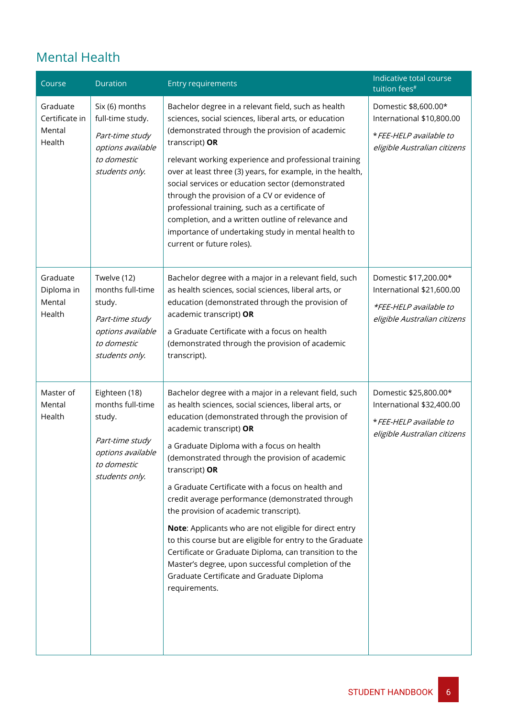# Mental Health

| Course                                         | Duration                                                                                                             | <b>Entry requirements</b>                                                                                                                                                                                                                                                                                                                                                                                                                                                                                                                                                                                                                                                                                                                                                | Indicative total course<br>tuition fees <sup>#</sup>                                                          |
|------------------------------------------------|----------------------------------------------------------------------------------------------------------------------|--------------------------------------------------------------------------------------------------------------------------------------------------------------------------------------------------------------------------------------------------------------------------------------------------------------------------------------------------------------------------------------------------------------------------------------------------------------------------------------------------------------------------------------------------------------------------------------------------------------------------------------------------------------------------------------------------------------------------------------------------------------------------|---------------------------------------------------------------------------------------------------------------|
| Graduate<br>Certificate in<br>Mental<br>Health | Six (6) months<br>full-time study.<br>Part-time study<br>options available<br>to domestic<br>students only.          | Bachelor degree in a relevant field, such as health<br>sciences, social sciences, liberal arts, or education<br>(demonstrated through the provision of academic<br>transcript) OR<br>relevant working experience and professional training<br>over at least three (3) years, for example, in the health,<br>social services or education sector (demonstrated<br>through the provision of a CV or evidence of<br>professional training, such as a certificate of<br>completion, and a written outline of relevance and<br>importance of undertaking study in mental health to<br>current or future roles).                                                                                                                                                               | Domestic \$8,600.00*<br>International \$10,800.00<br>* FEE-HELP available to<br>eligible Australian citizens  |
| Graduate<br>Diploma in<br>Mental<br>Health     | Twelve (12)<br>months full-time<br>study.<br>Part-time study<br>options available<br>to domestic<br>students only.   | Bachelor degree with a major in a relevant field, such<br>as health sciences, social sciences, liberal arts, or<br>education (demonstrated through the provision of<br>academic transcript) OR<br>a Graduate Certificate with a focus on health<br>(demonstrated through the provision of academic<br>transcript).                                                                                                                                                                                                                                                                                                                                                                                                                                                       | Domestic \$17,200.00*<br>International \$21,600.00<br>*FEE-HELP available to<br>eligible Australian citizens  |
| Master of<br>Mental<br>Health                  | Eighteen (18)<br>months full-time<br>study.<br>Part-time study<br>options available<br>to domestic<br>students only. | Bachelor degree with a major in a relevant field, such<br>as health sciences, social sciences, liberal arts, or<br>education (demonstrated through the provision of<br>academic transcript) OR<br>a Graduate Diploma with a focus on health<br>(demonstrated through the provision of academic<br>transcript) OR<br>a Graduate Certificate with a focus on health and<br>credit average performance (demonstrated through<br>the provision of academic transcript).<br>Note: Applicants who are not eligible for direct entry<br>to this course but are eligible for entry to the Graduate<br>Certificate or Graduate Diploma, can transition to the<br>Master's degree, upon successful completion of the<br>Graduate Certificate and Graduate Diploma<br>requirements. | Domestic \$25,800.00*<br>International \$32,400.00<br>* FEE-HELP available to<br>eligible Australian citizens |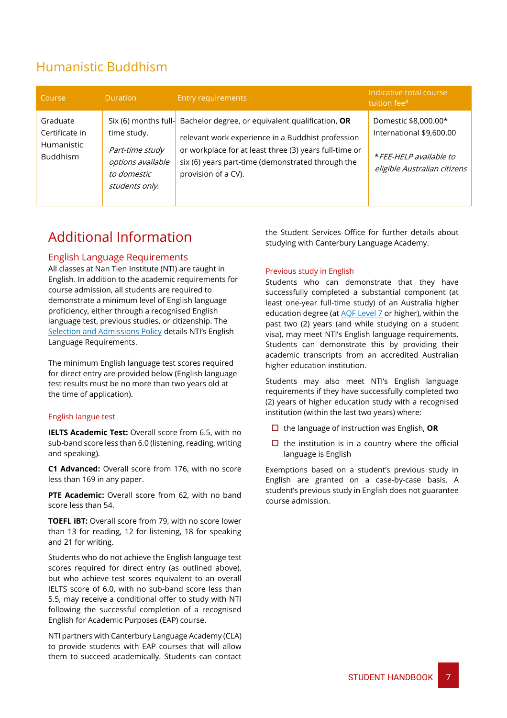# <span id="page-7-0"></span>Humanistic Buddhism

| Course                                                             | <b>Duration</b>                                                                                              | <b>Entry requirements</b>                                                                                                                                                                                                                   | Indicative total course<br>tuition fee <sup>#</sup>                                                        |
|--------------------------------------------------------------------|--------------------------------------------------------------------------------------------------------------|---------------------------------------------------------------------------------------------------------------------------------------------------------------------------------------------------------------------------------------------|------------------------------------------------------------------------------------------------------------|
| Graduate<br>Certificate in<br><b>Humanistic</b><br><b>Buddhism</b> | Six (6) months full-<br>time study.<br>Part-time study<br>options available<br>to domestic<br>students only. | Bachelor degree, or equivalent qualification, OR<br>relevant work experience in a Buddhist profession<br>or workplace for at least three (3) years full-time or<br>six (6) years part-time (demonstrated through the<br>provision of a CV). | Domestic \$8,000.00*<br>International \$9,600.00<br>*FEE-HELP available to<br>eligible Australian citizens |

# <span id="page-7-1"></span>Additional Information

### <span id="page-7-2"></span>English Language Requirements

All classes at Nan Tien Institute (NTI) are taught in English. In addition to the academic requirements for course admission, all students are required to demonstrate a minimum level of English language proficiency, either through a recognised English language test, previous studies, or citizenship. The [Selection and Admissions Policy](https://policy.nantien.edu.au/student-services/selection-and-admission-policy) details NTI's English Language Requirements.

The minimum English language test scores required for direct entry are provided below (English language test results must be no more than two years old at the time of application).

### <span id="page-7-3"></span>English langue test

**IELTS Academic Test:** Overall score from 6.5, with no sub-band score less than 6.0 (listening, reading, writing and speaking).

**C1 Advanced:** Overall score from 176, with no score less than 169 in any paper.

**PTE Academic:** Overall score from 62, with no band score less than 54.

**TOEFL iBT:** Overall score from 79, with no score lower than 13 for reading, 12 for listening, 18 for speaking and 21 for writing.

Students who do not achieve the English language test scores required for direct entry (as outlined above), but who achieve test scores equivalent to an overall IELTS score of 6.0, with no sub-band score less than 5.5, may receive a conditional offer to study with NTI following the successful completion of a recognised English for Academic Purposes (EAP) course.

NTI partners with Canterbury Language Academy (CLA) to provide students with EAP courses that will allow them to succeed academically. Students can contact the Student Services Office for further details about studying with Canterbury Language Academy.

### <span id="page-7-4"></span>Previous study in English

Students who can demonstrate that they have successfully completed a substantial component (at least one-year full-time study) of an Australia higher education degree (a[t AQF Level 7](https://www.aqf.edu.au/aqf-levels) or higher), within the past two (2) years (and while studying on a student visa), may meet NTI's English language requirements. Students can demonstrate this by providing their academic transcripts from an accredited Australian higher education institution.

Students may also meet NTI's English language requirements if they have successfully completed two (2) years of higher education study with a recognised institution (within the last two years) where:

- □ the language of instruction was English, OR
- $\Box$  the institution is in a country where the official language is English

Exemptions based on a student's previous study in English are granted on a case-by-case basis. A student's previous study in English does not guarantee course admission.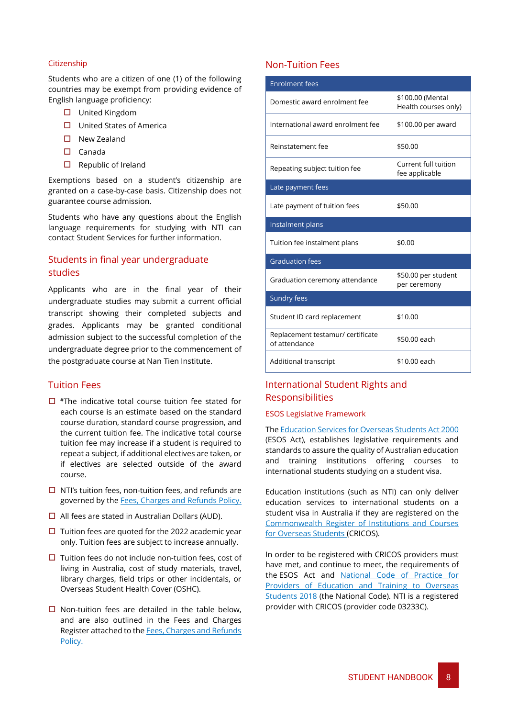### <span id="page-8-0"></span>Citizenship

Students who are a citizen of one (1) of the following countries may be exempt from providing evidence of English language proficiency:

- □ United Kingdom
- $\Box$  United States of America
- $\square$  New Zealand
- $\square$  Canada
- $\square$  Republic of Ireland

Exemptions based on a student's citizenship are granted on a case-by-case basis. Citizenship does not guarantee course admission.

Students who have any questions about the English language requirements for studying with NTI can contact Student Services for further information.

### <span id="page-8-1"></span>Students in final year undergraduate studies

Applicants who are in the final year of their undergraduate studies may submit a current official transcript showing their completed subjects and grades. Applicants may be granted conditional admission subject to the successful completion of the undergraduate degree prior to the commencement of the postgraduate course at Nan Tien Institute.

### <span id="page-8-2"></span>Tuition Fees

- $\Box$  #The indicative total course tuition fee stated for each course is an estimate based on the standard course duration, standard course progression, and the current tuition fee. The indicative total course tuition fee may increase if a student is required to repeat a subject, if additional electives are taken, or if electives are selected outside of the award course.
- $\Box$  NTI's tuition fees, non-tuition fees, and refunds are governed by th[e Fees, Charges and Refunds Policy.](https://policy.nantien.edu.au/student-services/fees-charges-and-refunds-policy)
- $\Box$  All fees are stated in Australian Dollars (AUD).
- $\Box$  Tuition fees are quoted for the 2022 academic year only. Tuition fees are subject to increase annually.
- $\square$  Tuition fees do not include non-tuition fees, cost of living in Australia, cost of study materials, travel, library charges, field trips or other incidentals, or Overseas Student Health Cover (OSHC).
- $\square$  Non-tuition fees are detailed in the table below, and are also outlined in the Fees and Charges Register attached to th[e Fees, Charges and Refunds](https://policy.nantien.edu.au/student-services/fees-charges-and-refunds-policy)  [Policy.](https://policy.nantien.edu.au/student-services/fees-charges-and-refunds-policy)

### <span id="page-8-3"></span>Non-Tuition Fees

| <b>Enrolment fees</b>                              |                                          |
|----------------------------------------------------|------------------------------------------|
| Domestic award enrolment fee                       | \$100.00 (Mental<br>Health courses only) |
| International award enrolment fee                  | \$100.00 per award                       |
| Reinstatement fee                                  | \$50.00                                  |
| Repeating subject tuition fee                      | Current full tuition<br>fee applicable   |
| Late payment fees                                  |                                          |
| Late payment of tuition fees                       | \$50.00                                  |
| Instalment plans                                   |                                          |
| Tuition fee instalment plans                       | \$0.00                                   |
| <b>Graduation fees</b>                             |                                          |
| Graduation ceremony attendance                     | \$50.00 per student<br>per ceremony      |
| Sundry fees                                        |                                          |
| Student ID card replacement                        | \$10.00                                  |
| Replacement testamur/ certificate<br>of attendance | \$50.00 each                             |
| Additional transcript                              | \$10.00 each                             |

### <span id="page-8-4"></span>International Student Rights and Responsibilities

### <span id="page-8-5"></span>ESOS Legislative Framework

Th[e Education Services for Overseas Students Act 2000](https://internationaleducation.gov.au/regulatory-information/pages/regulatoryinformation.aspx) (ESOS Act), establishes legislative requirements and standards to assure the quality of Australian education and training institutions offering courses to international students studying on a student visa.

Education institutions (such as NTI) can only deliver education services to international students on a student visa in Australia if they are registered on the [Commonwealth Register of Institutions and Courses](https://cricos.education.gov.au/default.aspx)  [for Overseas Students](https://cricos.education.gov.au/default.aspx) (CRICOS).

In order to be registered with CRICOS providers must have met, and continue to meet, the requirements of the ESOS Act and [National Code of Practice for](https://internationaleducation.gov.au/Regulatory-Information/Pages/National-Code-2018-Factsheets-.aspx)  [Providers of Education and Training to Overseas](https://internationaleducation.gov.au/Regulatory-Information/Pages/National-Code-2018-Factsheets-.aspx)  [Students 2018](https://internationaleducation.gov.au/Regulatory-Information/Pages/National-Code-2018-Factsheets-.aspx) (the National Code). NTI is a registered provider with CRICOS (provider code 03233C).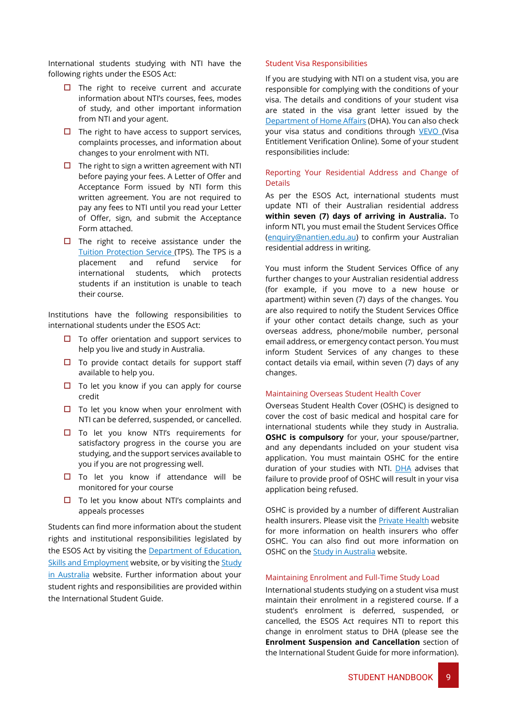International students studying with NTI have the following rights under the ESOS Act:

- $\Box$  The right to receive current and accurate information about NTI's courses, fees, modes of study, and other important information from NTI and your agent.
- $\Box$  The right to have access to support services, complaints processes, and information about changes to your enrolment with NTI.
- $\Box$  The right to sign a written agreement with NTI before paying your fees. A Letter of Offer and Acceptance Form issued by NTI form this written agreement. You are not required to pay any fees to NTI until you read your Letter of Offer, sign, and submit the Acceptance Form attached.
- $\Box$  The right to receive assistance under the [Tuition Protection Service](https://tps.gov.au/Home) (TPS). The TPS is a placement and refund service for international students, which protects students if an institution is unable to teach their course.

Institutions have the following responsibilities to international students under the ESOS Act:

- $\Box$  To offer orientation and support services to help you live and study in Australia.
- $\square$  To provide contact details for support staff available to help you.
- $\Box$  To let you know if you can apply for course credit
- $\Box$  To let you know when your enrolment with NTI can be deferred, suspended, or cancelled.
- □ To let you know NTI's requirements for satisfactory progress in the course you are studying, and the support services available to you if you are not progressing well.
- $\Box$  To let you know if attendance will be monitored for your course
- $\Box$  To let you know about NTI's complaints and appeals processes

Students can find more information about the student rights and institutional responsibilities legislated by the ESOS Act by visiting the [Department of Education,](https://internationaleducation.gov.au/regulatory-information/pages/regulatoryinformation.aspx)  [Skills and Employment](https://internationaleducation.gov.au/regulatory-information/pages/regulatoryinformation.aspx) website, or by visiting the Study [in Australia](https://www.studyinaustralia.gov.au/english/australian-education/education-system/esos-act) website. Further information about your student rights and responsibilities are provided within the International Student Guide.

#### <span id="page-9-0"></span>Student Visa Responsibilities

If you are studying with NTI on a student visa, you are responsible for complying with the conditions of your visa. The details and conditions of your student visa are stated in the visa grant letter issued by the [Department of Home Affairs](https://www.homeaffairs.gov.au/) (DHA). You can also check your visa status and conditions through [VEVO](https://immi.homeaffairs.gov.au/visas/already-have-a-visa/check-visa-details-and-conditions/check-conditions-online) (Visa Entitlement Verification Online). Some of your student responsibilities include:

### Reporting Your Residential Address and Change of Details

As per the ESOS Act, international students must update NTI of their Australian residential address **within seven (7) days of arriving in Australia.** To inform NTI, you must email the Student Services Office [\(enquiry@nantien.edu.au\)](mailto:enquiry@nantien.edu.au) to confirm your Australian residential address in writing.

You must inform the Student Services Office of any further changes to your Australian residential address (for example, if you move to a new house or apartment) within seven (7) days of the changes. You are also required to notify the Student Services Office if your other contact details change, such as your overseas address, phone/mobile number, personal email address, or emergency contact person. You must inform Student Services of any changes to these contact details via email, within seven (7) days of any changes.

#### Maintaining Overseas Student Health Cover

Overseas Student Health Cover (OSHC) is designed to cover the cost of basic medical and hospital care for international students while they study in Australia. **OSHC is compulsory** for your, your spouse/partner, and any dependants included on your student visa application. You must maintain OSHC for the entire duration of your studies with NTI. **DHA** advises that failure to provide proof of OSHC will result in your visa application being refused.

OSHC is provided by a number of different Australian health insurers. Please visit the [Private](https://www.privatehealth.gov.au/) Health website for more information on health insurers who offer OSHC. You can also find out more information on OSHC on the **Study in Australia** website.

### Maintaining Enrolment and Full-Time Study Load

International students studying on a student visa must maintain their enrolment in a registered course. If a student's enrolment is deferred, suspended, or cancelled, the ESOS Act requires NTI to report this change in enrolment status to DHA (please see the **Enrolment Suspension and Cancellation** section of the International Student Guide for more information).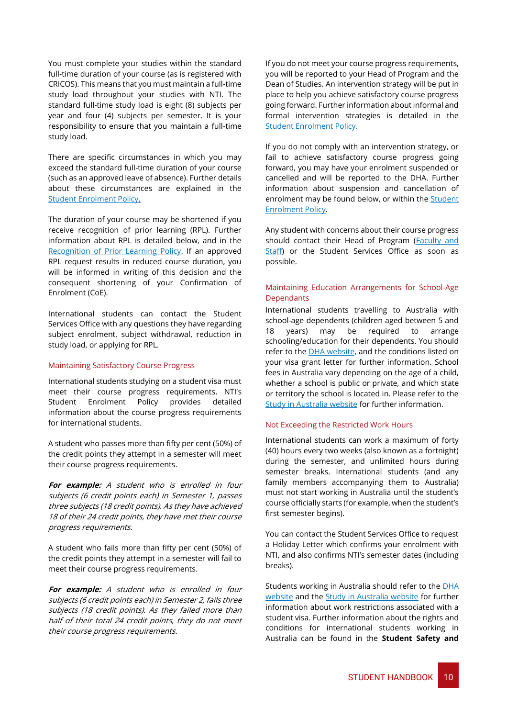You must complete your studies within the standard full-time duration of your course (as is registered with CRICOS). This means that you must maintain a full-time study load throughout your studies with NTI. The standard full-time study load is eight (8) subjects per year and four (4) subjects per semester. It is your responsibility to ensure that you maintain a full-time study load.

There are specific circumstances in which you may exceed the standard full-time duration of your course (such as an approved leave of absence). Further details about these circumstances are explained in the [Student Enrolment Policy.](https://policy.nantien.edu.au/student-services)

The duration of your course may be shortened if you receive recognition of prior learning (RPL). Further information about RPL is detailed below, and in the [Recognition of Prior Learning Policy.](https://policy.nantien.edu.au/student-services) If an approved RPL request results in reduced course duration, you will be informed in writing of this decision and the consequent shortening of your Confirmation of Enrolment (CoE).

International students can contact the Student Services Office with any questions they have regarding subject enrolment, subject withdrawal, reduction in study load, or applying for RPL.

#### Maintaining Satisfactory Course Progress

International students studying on a student visa must meet their course progress requirements. NTI's Student Enrolment Policy provides detailed information about the course progress requirements for international students.

A student who passes more than fifty per cent (50%) of the credit points they attempt in a semester will meet their course progress requirements.

**For example:** A student who is enrolled in four subjects (6 credit points each) in Semester 1, passes three subjects (18 credit points). As they have achieved 18 of their 24 credit points, they have met their course progress requirements.

A student who fails more than fifty per cent (50%) of the credit points they attempt in a semester will fail to meet their course progress requirements.

**For example:** A student who is enrolled in four subjects (6 credit points each) in Semester 2, fails three subjects (18 credit points). As they failed more than half of their total 24 credit points, they do not meet their course progress requirements.

If you do not meet your course progress requirements, you will be reported to your Head of Program and the Dean of Studies. An intervention strategy will be put in place to help you achieve satisfactory course progress going forward. Further information about informal and formal intervention strategies is detailed in the [Student Enrolment Policy.](https://policy.nantien.edu.au/student-services)

If you do not comply with an intervention strategy, or fail to achieve satisfactory course progress going forward, you may have your enrolment suspended or cancelled and will be reported to the DHA. Further information about suspension and cancellation of enrolment may be found below, or within the **Student** [Enrolment Policy.](https://policy.nantien.edu.au/student-services)

Any student with concerns about their course progress should contact their Head of Program [\(Faculty and](http://demo.nti.edu.au/about-us/faculty-and-staff/)  [Staff\)](http://demo.nti.edu.au/about-us/faculty-and-staff/) or the Student Services Office as soon as possible.

### Maintaining Education Arrangements for School-Age Dependants

International students travelling to Australia with school-age dependents (children aged between 5 and 18 years) may be required to arrange schooling/education for their dependents. You should refer to the [DHA website,](https://immi.homeaffairs.gov.au/visas/getting-a-visa/visa-listing/student-500#When) and the conditions listed on your visa grant letter for further information. School fees in Australia vary depending on the age of a child, whether a school is public or private, and which state or territory the school is located in. Please refer to the [Study in Australia website](https://www.studyinaustralia.gov.au/english/australian-education/bringing-your-children) for further information.

### Not Exceeding the Restricted Work Hours

International students can work a maximum of forty (40) hours every two weeks (also known as a fortnight) during the semester, and unlimited hours during semester breaks. International students (and any family members accompanying them to Australia) must not start working in Australia until the student's course officially starts (for example, when the student's first semester begins).

You can contact the Student Services Office to request a Holiday Letter which confirms your enrolment with NTI, and also confirms NTI's semester dates (including breaks).

Students working in Australia should refer to the [DHA](https://immi.homeaffairs.gov.au/visas/already-have-a-visa/check-visa-details-and-conditions/see-your-visa-conditions?product=500)  [website](https://immi.homeaffairs.gov.au/visas/already-have-a-visa/check-visa-details-and-conditions/see-your-visa-conditions?product=500) and the [Study in Australia website](https://www.studyinaustralia.gov.au/English/Live-in-Australia/Work/your-work-rights-explained) for further information about work restrictions associated with a student visa. Further information about the rights and conditions for international students working in Australia can be found in the **Student Safety and**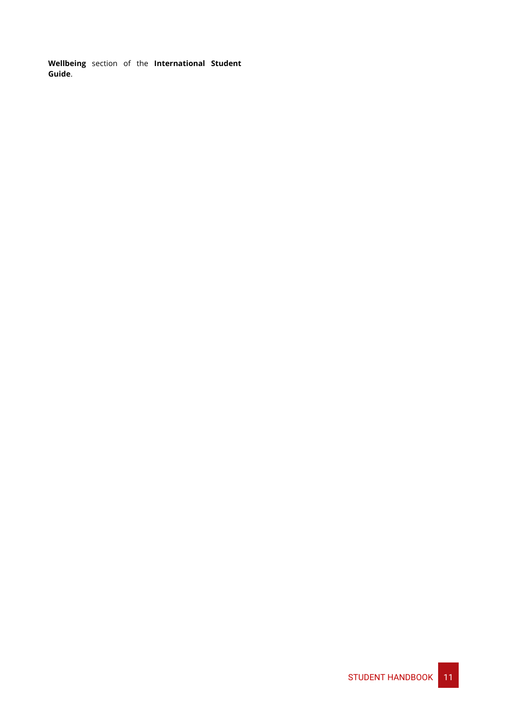**Wellbeing** section of the **International Student Guide**.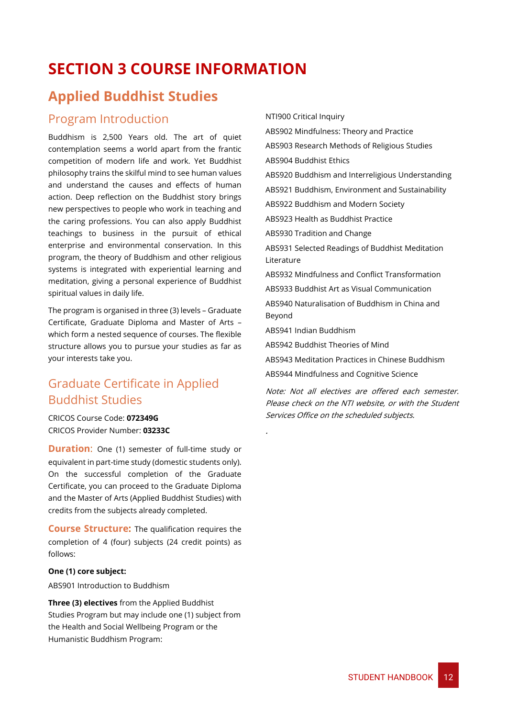# <span id="page-12-0"></span>**SECTION 3 COURSE INFORMATION**

# <span id="page-12-1"></span>**Applied Buddhist Studies**

### <span id="page-12-2"></span>Program Introduction

Buddhism is 2,500 Years old. The art of quiet contemplation seems a world apart from the frantic competition of modern life and work. Yet Buddhist philosophy trains the skilful mind to see human values and understand the causes and effects of human action. Deep reflection on the Buddhist story brings new perspectives to people who work in teaching and the caring professions. You can also apply Buddhist teachings to business in the pursuit of ethical enterprise and environmental conservation. In this program, the theory of Buddhism and other religious systems is integrated with experiential learning and meditation, giving a personal experience of Buddhist spiritual values in daily life.

The program is organised in three (3) levels – Graduate Certificate, Graduate Diploma and Master of Arts – which form a nested sequence of courses. The flexible structure allows you to pursue your studies as far as your interests take you.

# <span id="page-12-3"></span>Graduate Certificate in Applied Buddhist Studies

CRICOS Course Code: **072349G** CRICOS Provider Number: **03233C**

**Duration:** One (1) semester of full-time study or equivalent in part-time study (domestic students only). On the successful completion of the Graduate Certificate, you can proceed to the Graduate Diploma and the Master of Arts (Applied Buddhist Studies) with credits from the subjects already completed.

**Course Structure:** The qualification requires the completion of 4 (four) subjects (24 credit points) as follows:

### **One (1) core subject:**

ABS901 Introduction to Buddhism

**Three (3) electives** from the Applied Buddhist Studies Program but may include one (1) subject from the Health and Social Wellbeing Program or the Humanistic Buddhism Program:

NTI900 Critical Inquiry ABS902 Mindfulness: Theory and Practice ABS903 Research Methods of Religious Studies ABS904 Buddhist Ethics ABS920 Buddhism and Interreligious Understanding ABS921 Buddhism, Environment and Sustainability ABS922 Buddhism and Modern Society ABS923 Health as Buddhist Practice ABS930 Tradition and Change ABS931 Selected Readings of Buddhist Meditation Literature ABS932 Mindfulness and Conflict Transformation ABS933 Buddhist Art as Visual Communication ABS940 Naturalisation of Buddhism in China and Beyond ABS941 Indian Buddhism ABS942 Buddhist Theories of Mind ABS943 Meditation Practices in Chinese Buddhism ABS944 Mindfulness and Cognitive Science

Note: Not all electives are offered each semester. Please check on the NTI website, or with the Student Services Office on the scheduled subjects.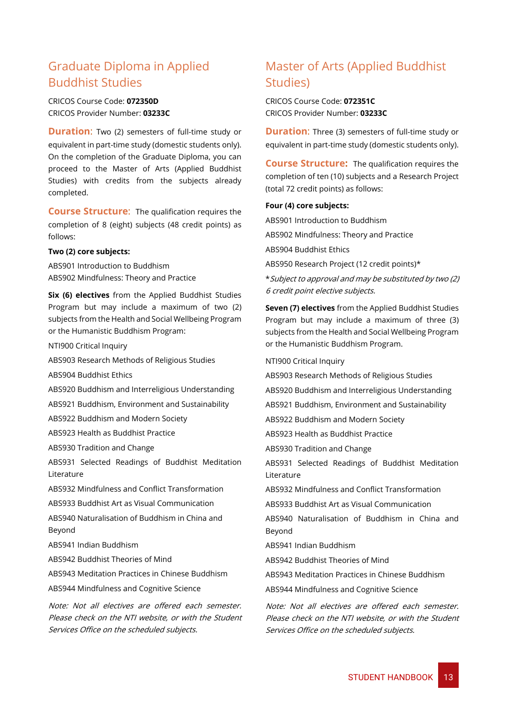### <span id="page-13-0"></span>Graduate Diploma in Applied Buddhist Studies

CRICOS Course Code: **072350D** CRICOS Provider Number: **03233C**

**Duration:** Two (2) semesters of full-time study or equivalent in part-time study (domestic students only). On the completion of the Graduate Diploma, you can proceed to the Master of Arts (Applied Buddhist Studies) with credits from the subjects already completed.

**Course Structure**:The qualification requires the completion of 8 (eight) subjects (48 credit points) as follows:

#### **Two (2) core subjects:**

ABS901 Introduction to Buddhism ABS902 Mindfulness: Theory and Practice

**Six (6) electives** from the Applied Buddhist Studies Program but may include a maximum of two (2) subjects from the Health and Social Wellbeing Program or the Humanistic Buddhism Program:

NTI900 Critical Inquiry

ABS903 Research Methods of Religious Studies

ABS904 Buddhist Ethics

ABS920 Buddhism and Interreligious Understanding

ABS921 Buddhism, Environment and Sustainability

ABS922 Buddhism and Modern Society

ABS923 Health as Buddhist Practice

ABS930 Tradition and Change

ABS931 Selected Readings of Buddhist Meditation Literature

ABS932 Mindfulness and Conflict Transformation

ABS933 Buddhist Art as Visual Communication

ABS940 Naturalisation of Buddhism in China and Beyond

ABS941 Indian Buddhism

ABS942 Buddhist Theories of Mind

ABS943 Meditation Practices in Chinese Buddhism

ABS944 Mindfulness and Cognitive Science

Note: Not all electives are offered each semester. Please check on the NTI website, or with the Student Services Office on the scheduled subjects.

### <span id="page-13-1"></span>Master of Arts (Applied Buddhist Studies)

CRICOS Course Code: **072351C** CRICOS Provider Number: **03233C**

**Duration:** Three (3) semesters of full-time study or equivalent in part-time study (domestic students only).

**Course Structure:** The qualification requires the completion of ten (10) subjects and a Research Project (total 72 credit points) as follows:

#### **Four (4) core subjects:**

ABS901 Introduction to Buddhism ABS902 Mindfulness: Theory and Practice ABS904 Buddhist Ethics ABS950 Research Project (12 credit points)\* \*Subject to approval and may be substituted by two (2) 6 credit point elective subjects.

**Seven (7) electives** from the Applied Buddhist Studies Program but may include a maximum of three (3) subjects from the Health and Social Wellbeing Program or the Humanistic Buddhism Program.

NTI900 Critical Inquiry

ABS903 Research Methods of Religious Studies

ABS920 Buddhism and Interreligious Understanding

ABS921 Buddhism, Environment and Sustainability

ABS922 Buddhism and Modern Society

ABS923 Health as Buddhist Practice

ABS930 Tradition and Change

ABS931 Selected Readings of Buddhist Meditation **Literature** 

ABS932 Mindfulness and Conflict Transformation

ABS933 Buddhist Art as Visual Communication

ABS940 Naturalisation of Buddhism in China and Beyond

ABS941 Indian Buddhism

ABS942 Buddhist Theories of Mind

ABS943 Meditation Practices in Chinese Buddhism

ABS944 Mindfulness and Cognitive Science

Note: Not all electives are offered each semester. Please check on the NTI website, or with the Student Services Office on the scheduled subjects.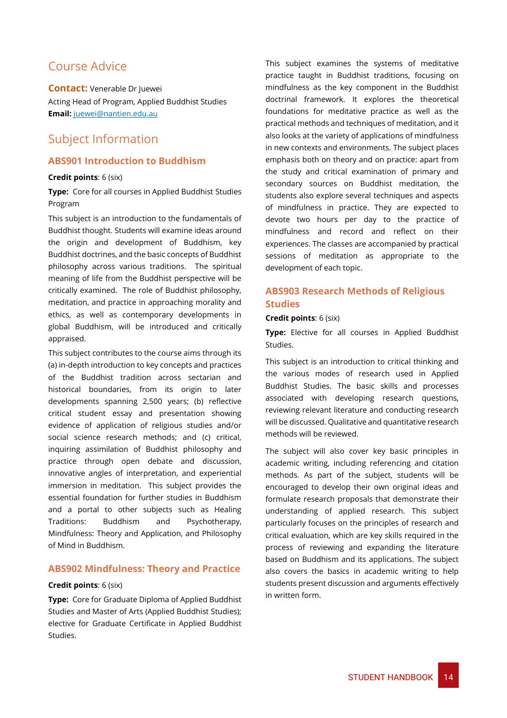### <span id="page-14-0"></span>Course Advice

**Contact:** Venerable Dr Juewei Acting Head of Program, Applied Buddhist Studies **Email:** [juewei@nantien.edu.au](mailto:juewei@nantien.edu.au)

### <span id="page-14-1"></span>Subject Information

### **ABS901 Introduction to Buddhism**

### **Credit points**: 6 (six)

**Type:** Core for all courses in Applied Buddhist Studies Program

This subject is an introduction to the fundamentals of Buddhist thought. Students will examine ideas around the origin and development of Buddhism, key Buddhist doctrines, and the basic concepts of Buddhist philosophy across various traditions. The spiritual meaning of life from the Buddhist perspective will be critically examined. The role of Buddhist philosophy, meditation, and practice in approaching morality and ethics, as well as contemporary developments in global Buddhism, will be introduced and critically appraised.

This subject contributes to the course aims through its (a) in-depth introduction to key concepts and practices of the Buddhist tradition across sectarian and historical boundaries, from its origin to later developments spanning 2,500 years; (b) reflective critical student essay and presentation showing evidence of application of religious studies and/or social science research methods; and (c) critical, inquiring assimilation of Buddhist philosophy and practice through open debate and discussion, innovative angles of interpretation, and experiential immersion in meditation. This subject provides the essential foundation for further studies in Buddhism and a portal to other subjects such as Healing Traditions: Buddhism and Psychotherapy, Mindfulness: Theory and Application, and Philosophy of Mind in Buddhism.

### **ABS902 Mindfulness: Theory and Practice**

### **Credit points**: 6 (six)

**Type:** Core for Graduate Diploma of Applied Buddhist Studies and Master of Arts (Applied Buddhist Studies); elective for Graduate Certificate in Applied Buddhist Studies.

This subject examines the systems of meditative practice taught in Buddhist traditions, focusing on mindfulness as the key component in the Buddhist doctrinal framework. It explores the theoretical foundations for meditative practice as well as the practical methods and techniques of meditation, and it also looks at the variety of applications of mindfulness in new contexts and environments. The subject places emphasis both on theory and on practice: apart from the study and critical examination of primary and secondary sources on Buddhist meditation, the students also explore several techniques and aspects of mindfulness in practice. They are expected to devote two hours per day to the practice of mindfulness and record and reflect on their experiences. The classes are accompanied by practical sessions of meditation as appropriate to the development of each topic.

### **ABS903 Research Methods of Religious Studies**

### **Credit points**: 6 (six)

**Type:** Elective for all courses in Applied Buddhist Studies.

This subject is an introduction to critical thinking and the various modes of research used in Applied Buddhist Studies. The basic skills and processes associated with developing research questions, reviewing relevant literature and conducting research will be discussed. Qualitative and quantitative research methods will be reviewed.

The subject will also cover key basic principles in academic writing, including referencing and citation methods. As part of the subject, students will be encouraged to develop their own original ideas and formulate research proposals that demonstrate their understanding of applied research. This subject particularly focuses on the principles of research and critical evaluation, which are key skills required in the process of reviewing and expanding the literature based on Buddhism and its applications. The subject also covers the basics in academic writing to help students present discussion and arguments effectively in written form.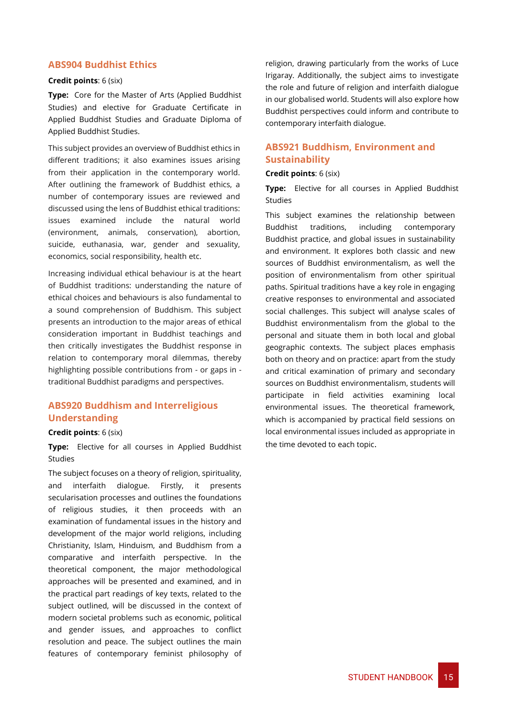### **ABS904 Buddhist Ethics**

#### **Credit points**: 6 (six)

**Type:** Core for the Master of Arts (Applied Buddhist Studies) and elective for Graduate Certificate in Applied Buddhist Studies and Graduate Diploma of Applied Buddhist Studies.

This subject provides an overview of Buddhist ethics in different traditions; it also examines issues arising from their application in the contemporary world. After outlining the framework of Buddhist ethics, a number of contemporary issues are reviewed and discussed using the lens of Buddhist ethical traditions: issues examined include the natural world (environment, animals, conservation), abortion, suicide, euthanasia, war, gender and sexuality, economics, social responsibility, health etc.

Increasing individual ethical behaviour is at the heart of Buddhist traditions: understanding the nature of ethical choices and behaviours is also fundamental to a sound comprehension of Buddhism. This subject presents an introduction to the major areas of ethical consideration important in Buddhist teachings and then critically investigates the Buddhist response in relation to contemporary moral dilemmas, thereby highlighting possible contributions from - or gaps in traditional Buddhist paradigms and perspectives.

### **ABS920 Buddhism and Interreligious Understanding**

### **Credit points**: 6 (six)

**Type:** Elective for all courses in Applied Buddhist Studies

The subject focuses on a theory of religion, spirituality, and interfaith dialogue. Firstly, it presents secularisation processes and outlines the foundations of religious studies, it then proceeds with an examination of fundamental issues in the history and development of the major world religions, including Christianity, Islam, Hinduism, and Buddhism from a comparative and interfaith perspective. In the theoretical component, the major methodological approaches will be presented and examined, and in the practical part readings of key texts, related to the subject outlined, will be discussed in the context of modern societal problems such as economic, political and gender issues, and approaches to conflict resolution and peace. The subject outlines the main features of contemporary feminist philosophy of religion, drawing particularly from the works of Luce Irigaray. Additionally, the subject aims to investigate the role and future of religion and interfaith dialogue in our globalised world. Students will also explore how Buddhist perspectives could inform and contribute to contemporary interfaith dialogue.

### **ABS921 Buddhism, Environment and Sustainability**

### **Credit points**: 6 (six)

**Type:** Elective for all courses in Applied Buddhist Studies

This subject examines the relationship between Buddhist traditions, including contemporary Buddhist practice, and global issues in sustainability and environment. It explores both classic and new sources of Buddhist environmentalism, as well the position of environmentalism from other spiritual paths. Spiritual traditions have a key role in engaging creative responses to environmental and associated social challenges. This subject will analyse scales of Buddhist environmentalism from the global to the personal and situate them in both local and global geographic contexts. The subject places emphasis both on theory and on practice: apart from the study and critical examination of primary and secondary sources on Buddhist environmentalism, students will participate in field activities examining local environmental issues. The theoretical framework, which is accompanied by practical field sessions on local environmental issues included as appropriate in the time devoted to each topic.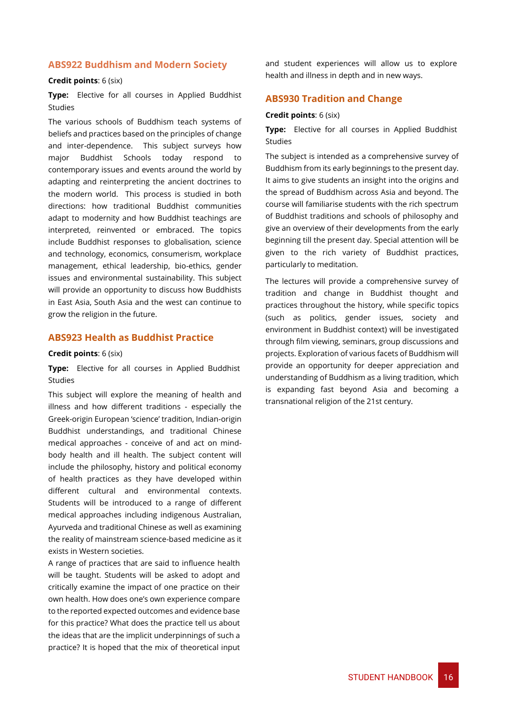### **ABS922 Buddhism and Modern Society**

#### **Credit points**: 6 (six)

**Type:** Elective for all courses in Applied Buddhist Studies

The various schools of Buddhism teach systems of beliefs and practices based on the principles of change and inter-dependence. This subject surveys how major Buddhist Schools today respond to contemporary issues and events around the world by adapting and reinterpreting the ancient doctrines to the modern world. This process is studied in both directions: how traditional Buddhist communities adapt to modernity and how Buddhist teachings are interpreted, reinvented or embraced. The topics include Buddhist responses to globalisation, science and technology, economics, consumerism, workplace management, ethical leadership, bio-ethics, gender issues and environmental sustainability. This subject will provide an opportunity to discuss how Buddhists in East Asia, South Asia and the west can continue to grow the religion in the future.

### **ABS923 Health as Buddhist Practice**

#### **Credit points**: 6 (six)

**Type:** Elective for all courses in Applied Buddhist Studies

This subject will explore the meaning of health and illness and how different traditions - especially the Greek-origin European 'science' tradition, Indian-origin Buddhist understandings, and traditional Chinese medical approaches - conceive of and act on mindbody health and ill health. The subject content will include the philosophy, history and political economy of health practices as they have developed within different cultural and environmental contexts. Students will be introduced to a range of different medical approaches including indigenous Australian, Ayurveda and traditional Chinese as well as examining the reality of mainstream science-based medicine as it exists in Western societies.

A range of practices that are said to influence health will be taught. Students will be asked to adopt and critically examine the impact of one practice on their own health. How does one's own experience compare to the reported expected outcomes and evidence base for this practice? What does the practice tell us about the ideas that are the implicit underpinnings of such a practice? It is hoped that the mix of theoretical input

and student experiences will allow us to explore health and illness in depth and in new ways.

### **ABS930 Tradition and Change**

#### **Credit points**: 6 (six)

**Type:** Elective for all courses in Applied Buddhist Studies

The subject is intended as a comprehensive survey of Buddhism from its early beginnings to the present day. It aims to give students an insight into the origins and the spread of Buddhism across Asia and beyond. The course will familiarise students with the rich spectrum of Buddhist traditions and schools of philosophy and give an overview of their developments from the early beginning till the present day. Special attention will be given to the rich variety of Buddhist practices, particularly to meditation.

The lectures will provide a comprehensive survey of tradition and change in Buddhist thought and practices throughout the history, while specific topics (such as politics, gender issues, society and environment in Buddhist context) will be investigated through film viewing, seminars, group discussions and projects. Exploration of various facets of Buddhism will provide an opportunity for deeper appreciation and understanding of Buddhism as a living tradition, which is expanding fast beyond Asia and becoming a transnational religion of the 21st century.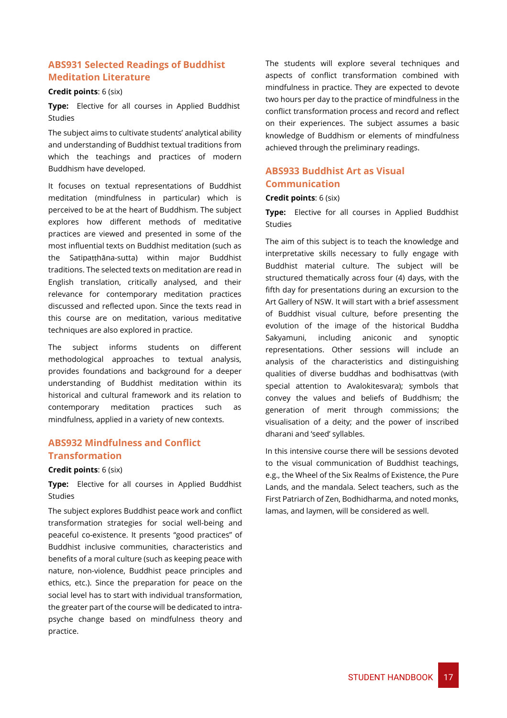### **ABS931 Selected Readings of Buddhist Meditation Literature**

#### **Credit points**: 6 (six)

**Type:** Elective for all courses in Applied Buddhist Studies

The subject aims to cultivate students' analytical ability and understanding of Buddhist textual traditions from which the teachings and practices of modern Buddhism have developed.

It focuses on textual representations of Buddhist meditation (mindfulness in particular) which is perceived to be at the heart of Buddhism. The subject explores how different methods of meditative practices are viewed and presented in some of the most influential texts on Buddhist meditation (such as the Satipaṭṭhāna-sutta) within major Buddhist traditions. The selected texts on meditation are read in English translation, critically analysed, and their relevance for contemporary meditation practices discussed and reflected upon. Since the texts read in this course are on meditation, various meditative techniques are also explored in practice.

The subject informs students on different methodological approaches to textual analysis, provides foundations and background for a deeper understanding of Buddhist meditation within its historical and cultural framework and its relation to contemporary meditation practices such as mindfulness, applied in a variety of new contexts.

### **ABS932 Mindfulness and Conflict Transformation**

### **Credit points**: 6 (six)

**Type:** Elective for all courses in Applied Buddhist **Studies** 

The subject explores Buddhist peace work and conflict transformation strategies for social well-being and peaceful co-existence. It presents "good practices" of Buddhist inclusive communities, characteristics and benefits of a moral culture (such as keeping peace with nature, non-violence, Buddhist peace principles and ethics, etc.). Since the preparation for peace on the social level has to start with individual transformation, the greater part of the course will be dedicated to intrapsyche change based on mindfulness theory and practice.

The students will explore several techniques and aspects of conflict transformation combined with mindfulness in practice. They are expected to devote two hours per day to the practice of mindfulness in the conflict transformation process and record and reflect on their experiences. The subject assumes a basic knowledge of Buddhism or elements of mindfulness achieved through the preliminary readings.

### **ABS933 Buddhist Art as Visual Communication**

### **Credit points**: 6 (six)

**Type:** Elective for all courses in Applied Buddhist Studies

The aim of this subject is to teach the knowledge and interpretative skills necessary to fully engage with Buddhist material culture. The subject will be structured thematically across four (4) days, with the fifth day for presentations during an excursion to the Art Gallery of NSW. It will start with a brief assessment of Buddhist visual culture, before presenting the evolution of the image of the historical Buddha Sakyamuni, including aniconic and synoptic representations. Other sessions will include an analysis of the characteristics and distinguishing qualities of diverse buddhas and bodhisattvas (with special attention to Avalokitesvara); symbols that convey the values and beliefs of Buddhism; the generation of merit through commissions; the visualisation of a deity; and the power of inscribed dharani and 'seed' syllables.

In this intensive course there will be sessions devoted to the visual communication of Buddhist teachings, e.g., the Wheel of the Six Realms of Existence, the Pure Lands, and the mandala. Select teachers, such as the First Patriarch of Zen, Bodhidharma, and noted monks, lamas, and laymen, will be considered as well.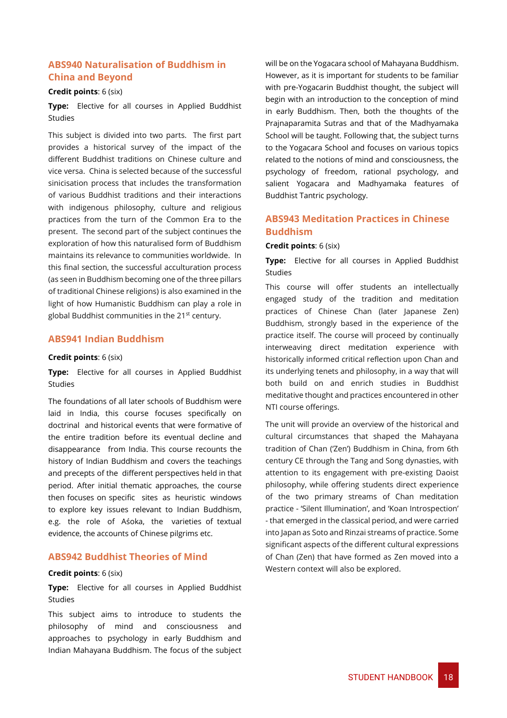### **ABS940 Naturalisation of Buddhism in China and Beyond**

#### **Credit points**: 6 (six)

**Type:** Elective for all courses in Applied Buddhist Studies

This subject is divided into two parts. The first part provides a historical survey of the impact of the different Buddhist traditions on Chinese culture and vice versa. China is selected because of the successful sinicisation process that includes the transformation of various Buddhist traditions and their interactions with indigenous philosophy, culture and religious practices from the turn of the Common Era to the present. The second part of the subject continues the exploration of how this naturalised form of Buddhism maintains its relevance to communities worldwide. In this final section, the successful acculturation process (as seen in Buddhism becoming one of the three pillars of traditional Chinese religions) is also examined in the light of how Humanistic Buddhism can play a role in global Buddhist communities in the 21st century.

### **ABS941 Indian Buddhism**

### **Credit points**: 6 (six)

**Type:** Elective for all courses in Applied Buddhist Studies

The foundations of all later schools of Buddhism were laid in India, this course focuses specifically on doctrinal and historical events that were formative of the entire tradition before its eventual decline and disappearance from India. This course recounts the history of Indian Buddhism and covers the teachings and precepts of the different perspectives held in that period. After initial thematic approaches, the course then focuses on specific sites as heuristic windows to explore key issues relevant to Indian Buddhism, e.g. the role of Aśoka, the varieties of textual evidence, the accounts of Chinese pilgrims etc.

### **ABS942 Buddhist Theories of Mind**

### **Credit points**: 6 (six)

**Type:** Elective for all courses in Applied Buddhist Studies

This subject aims to introduce to students the philosophy of mind and consciousness and approaches to psychology in early Buddhism and Indian Mahayana Buddhism. The focus of the subject will be on the Yogacara school of Mahayana Buddhism. However, as it is important for students to be familiar with pre-Yogacarin Buddhist thought, the subject will begin with an introduction to the conception of mind in early Buddhism. Then, both the thoughts of the Prajnaparamita Sutras and that of the Madhyamaka School will be taught. Following that, the subject turns to the Yogacara School and focuses on various topics related to the notions of mind and consciousness, the psychology of freedom, rational psychology, and salient Yogacara and Madhyamaka features of Buddhist Tantric psychology.

### **ABS943 Meditation Practices in Chinese Buddhism**

#### **Credit points**: 6 (six)

**Type:** Elective for all courses in Applied Buddhist Studies

This course will offer students an intellectually engaged study of the tradition and meditation practices of Chinese Chan (later Japanese Zen) Buddhism, strongly based in the experience of the practice itself. The course will proceed by continually interweaving direct meditation experience with historically informed critical reflection upon Chan and its underlying tenets and philosophy, in a way that will both build on and enrich studies in Buddhist meditative thought and practices encountered in other NTI course offerings.

The unit will provide an overview of the historical and cultural circumstances that shaped the Mahayana tradition of Chan ('Zen') Buddhism in China, from 6th century CE through the Tang and Song dynasties, with attention to its engagement with pre-existing Daoist philosophy, while offering students direct experience of the two primary streams of Chan meditation practice - 'Silent Illumination', and 'Koan Introspection' - that emerged in the classical period, and were carried into Japan as Soto and Rinzai streams of practice. Some significant aspects of the different cultural expressions of Chan (Zen) that have formed as Zen moved into a Western context will also be explored.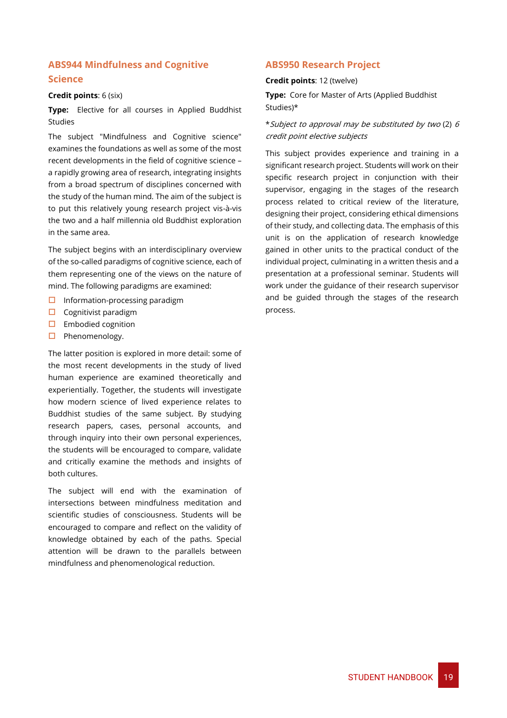### **ABS944 Mindfulness and Cognitive Science**

#### **Credit points**: 6 (six)

**Type:** Elective for all courses in Applied Buddhist Studies

The subject "Mindfulness and Cognitive science" examines the foundations as well as some of the most recent developments in the field of cognitive science – a rapidly growing area of research, integrating insights from a broad spectrum of disciplines concerned with the study of the human mind. The aim of the subject is to put this relatively young research project vis-à-vis the two and a half millennia old Buddhist exploration in the same area.

The subject begins with an interdisciplinary overview of the so-called paradigms of cognitive science, each of them representing one of the views on the nature of mind. The following paradigms are examined:

- $\Box$  Information-processing paradigm
- $\Box$  Cognitivist paradigm
- $\square$  Embodied cognition
- $\Box$  Phenomenology.

The latter position is explored in more detail: some of the most recent developments in the study of lived human experience are examined theoretically and experientially. Together, the students will investigate how modern science of lived experience relates to Buddhist studies of the same subject. By studying research papers, cases, personal accounts, and through inquiry into their own personal experiences, the students will be encouraged to compare, validate and critically examine the methods and insights of both cultures.

The subject will end with the examination of intersections between mindfulness meditation and scientific studies of consciousness. Students will be encouraged to compare and reflect on the validity of knowledge obtained by each of the paths. Special attention will be drawn to the parallels between mindfulness and phenomenological reduction.

### **ABS950 Research Project**

### **Credit points**: 12 (twelve)

**Type:** Core for Master of Arts (Applied Buddhist Studies)\*

### \*Subject to approval may be substituted by two (2) <sup>6</sup> credit point elective subjects

This subject provides experience and training in a significant research project. Students will work on their specific research project in conjunction with their supervisor, engaging in the stages of the research process related to critical review of the literature, designing their project, considering ethical dimensions of their study, and collecting data. The emphasis of this unit is on the application of research knowledge gained in other units to the practical conduct of the individual project, culminating in a written thesis and a presentation at a professional seminar. Students will work under the guidance of their research supervisor and be guided through the stages of the research process.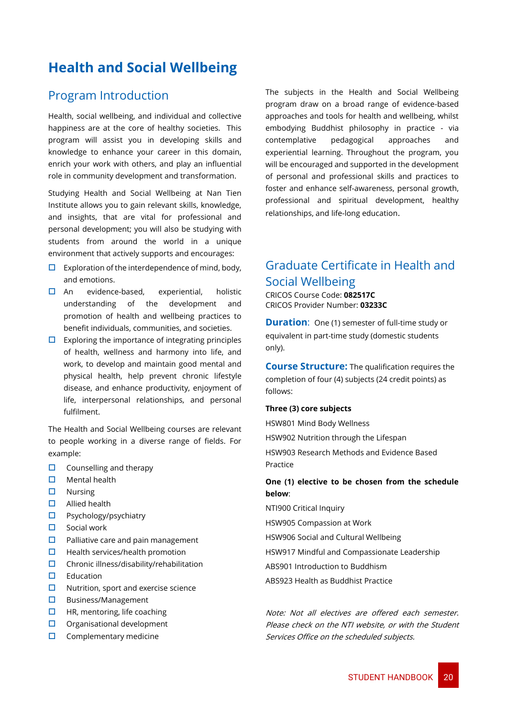# <span id="page-20-0"></span>**Health and Social Wellbeing**

### <span id="page-20-1"></span>Program Introduction

Health, social wellbeing, and individual and collective happiness are at the core of healthy societies. This program will assist you in developing skills and knowledge to enhance your career in this domain, enrich your work with others, and play an influential role in community development and transformation.

Studying Health and Social Wellbeing at Nan Tien Institute allows you to gain relevant skills, knowledge, and insights, that are vital for professional and personal development; you will also be studying with students from around the world in a unique environment that actively supports and encourages:

- $\Box$  Exploration of the interdependence of mind, body, and emotions.
- $\Box$  An evidence-based, experiential, holistic understanding of the development and promotion of health and wellbeing practices to benefit individuals, communities, and societies.
- $\square$  Exploring the importance of integrating principles of health, wellness and harmony into life, and work, to develop and maintain good mental and physical health, help prevent chronic lifestyle disease, and enhance productivity, enjoyment of life, interpersonal relationships, and personal fulfilment.

The Health and Social Wellbeing courses are relevant to people working in a diverse range of fields. For example:

- $\Box$  Counselling and therapy
- $\Box$  Mental health
- $\square$  Nursing
- Allied health
- □ Psychology/psychiatry
- $\square$  Social work
- $\Box$  Palliative care and pain management
- $\Box$  Health services/health promotion
- $\square$  Chronic illness/disability/rehabilitation
- $\Box$  Education
- $\Box$  Nutrition, sport and exercise science
- $\square$  Business/Management
- $\Box$  HR, mentoring, life coaching
- $\Box$  Organisational development
- $\Box$  Complementary medicine

The subjects in the Health and Social Wellbeing program draw on a broad range of evidence-based approaches and tools for health and wellbeing, whilst embodying Buddhist philosophy in practice - via contemplative pedagogical approaches and experiential learning. Throughout the program, you will be encouraged and supported in the development of personal and professional skills and practices to foster and enhance self-awareness, personal growth, professional and spiritual development, healthy relationships, and life-long education.

### <span id="page-20-2"></span>Graduate Certificate in Health and Social Wellbeing

CRICOS Course Code: **082517C** CRICOS Provider Number: **03233C**

**Duration:** One (1) semester of full-time study or equivalent in part-time study (domestic students only).

**Course Structure:** The qualification requires the completion of four (4) subjects (24 credit points) as follows:

#### **Three (3) core subjects**

HSW801 Mind Body Wellness HSW902 Nutrition through the Lifespan HSW903 Research Methods and Evidence Based Practice

### **One (1) elective to be chosen from the schedule below**:

NTI900 Critical Inquiry

HSW905 Compassion at Work

HSW906 Social and Cultural Wellbeing

- HSW917 Mindful and Compassionate Leadership
- ABS901 Introduction to Buddhism
- ABS923 Health as Buddhist Practice

Note: Not all electives are offered each semester. Please check on the NTI website, or with the Student Services Office on the scheduled subjects.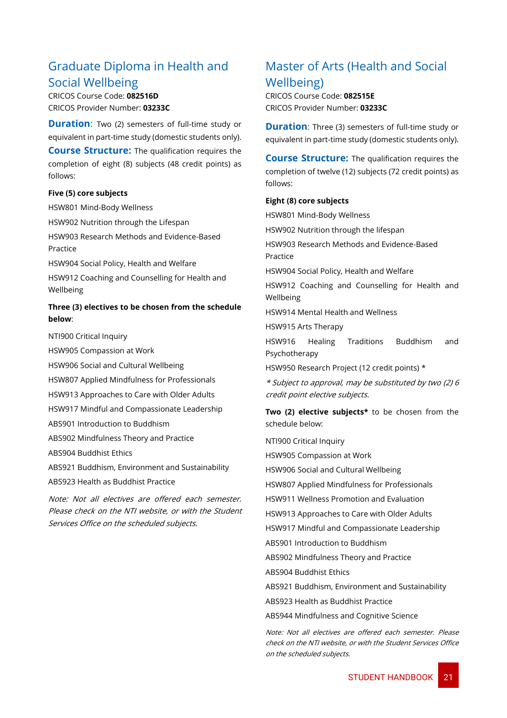### <span id="page-21-0"></span>Graduate Diploma in Health and Social Wellbeing

CRICOS Course Code: **082516D** CRICOS Provider Number: **03233C**

**Duration:** Two (2) semesters of full-time study or equivalent in part-time study (domestic students only).

**Course Structure:** The qualification requires the completion of eight (8) subjects (48 credit points) as follows:

### **Five (5) core subjects**

HSW801 Mind-Body Wellness

HSW902 Nutrition through the Lifespan

HSW903 Research Methods and Evidence-Based Practice

HSW904 Social Policy, Health and Welfare

HSW912 Coaching and Counselling for Health and Wellbeing

### **Three (3) electives to be chosen from the schedule below**:

NTI900 Critical Inquiry

HSW905 Compassion at Work

HSW906 Social and Cultural Wellbeing

HSW807 Applied Mindfulness for Professionals

HSW913 Approaches to Care with Older Adults

HSW917 Mindful and Compassionate Leadership

ABS901 Introduction to Buddhism

ABS902 Mindfulness Theory and Practice

ABS904 Buddhist Ethics

ABS921 Buddhism, Environment and Sustainability

ABS923 Health as Buddhist Practice

Note: Not all electives are offered each semester. Please check on the NTI website, or with the Student Services Office on the scheduled subjects.

### <span id="page-21-1"></span>Master of Arts (Health and Social Wellbeing)

CRICOS Course Code: **082515E** CRICOS Provider Number: **03233C**

**Duration:** Three (3) semesters of full-time study or equivalent in part-time study (domestic students only).

**Course Structure:** The qualification requires the completion of twelve (12) subjects (72 credit points) as follows:

### **Eight (8) core subjects**

HSW801 Mind-Body Wellness HSW902 Nutrition through the lifespan HSW903 Research Methods and Evidence-Based Practice HSW904 Social Policy, Health and Welfare HSW912 Coaching and Counselling for Health and Wellbeing HSW914 Mental Health and Wellness HSW915 Arts Therapy HSW916 Healing Traditions Buddhism and Psychotherapy HSW950 Research Project (12 credit points) \* \* Subject to approval, may be substituted by two (2) 6 credit point elective subjects. **Two (2) elective subjects\*** to be chosen from the schedule below: NTI900 Critical Inquiry HSW905 Compassion at Work

HSW906 Social and Cultural Wellbeing

HSW807 Applied Mindfulness for Professionals

HSW911 Wellness Promotion and Evaluation

HSW913 Approaches to Care with Older Adults

HSW917 Mindful and Compassionate Leadership

ABS901 Introduction to Buddhism

ABS902 Mindfulness Theory and Practice

ABS904 Buddhist Ethics

ABS921 Buddhism, Environment and Sustainability

ABS923 Health as Buddhist Practice

ABS944 Mindfulness and Cognitive Science

Note: Not all electives are offered each semester. Please check on the NTI website, or with the Student Services Office on the scheduled subjects.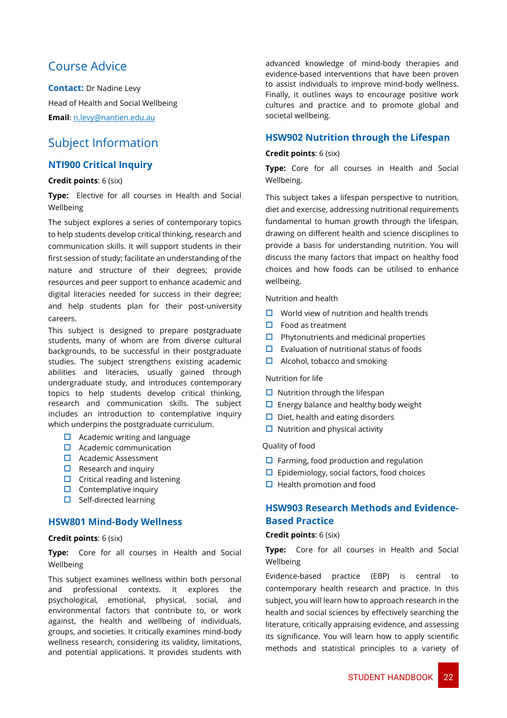### <span id="page-22-0"></span>Course Advice

**Contact:** Dr Nadine Levy Head of Health and Social Wellbeing **Email**: n.levy@nantien.edu.au

### <span id="page-22-1"></span>Subject Information

### **NTI900 Critical Inquiry**

### **Credit points**: 6 (six)

**Type:** Elective for all courses in Health and Social Wellbeing

The subject explores a series of contemporary topics to help students develop critical thinking, research and communication skills. It will support students in their first session of study; facilitate an understanding of the nature and structure of their degrees; provide resources and peer support to enhance academic and digital literacies needed for success in their degree; and help students plan for their post-university careers.

This subject is designed to prepare postgraduate students, many of whom are from diverse cultural backgrounds, to be successful in their postgraduate studies. The subject strengthens existing academic abilities and literacies, usually gained through undergraduate study, and introduces contemporary topics to help students develop critical thinking, research and communication skills. The subject includes an introduction to contemplative inquiry which underpins the postgraduate curriculum.

- $\Box$  Academic writing and language
- $\Box$  Academic communication
- $\Pi$  Academic Assessment
- $\Box$  Research and inquiry
- $\Box$  Critical reading and listening
- $\Box$  Contemplative inquiry
- $\Box$  Self-directed learning

### **HSW801 Mind-Body Wellness**

### **Credit points**: 6 (six)

**Type:** Core for all courses in Health and Social Wellbeing

This subject examines wellness within both personal and professional contexts. It explores the psychological, emotional, physical, social, and environmental factors that contribute to, or work against, the health and wellbeing of individuals, groups, and societies. It critically examines mind-body wellness research, considering its validity, limitations, and potential applications. It provides students with

advanced knowledge of mind-body therapies and evidence-based interventions that have been proven to assist individuals to improve mind-body wellness. Finally, it outlines ways to encourage positive work cultures and practice and to promote global and societal wellbeing.

### **HSW902 Nutrition through the Lifespan**

### **Credit points**: 6 (six)

**Type:** Core for all courses in Health and Social Wellbeing.

This subject takes a lifespan perspective to nutrition, diet and exercise, addressing nutritional requirements fundamental to human growth through the lifespan, drawing on different health and science disciplines to provide a basis for understanding nutrition. You will discuss the many factors that impact on healthy food choices and how foods can be utilised to enhance wellbeing.

Nutrition and health

- $\Box$  World view of nutrition and health trends
- $\Box$  Food as treatment
- $\Box$  Phytonutrients and medicinal properties
- $\Box$  Evaluation of nutritional status of foods
- $\Box$  Alcohol, tobacco and smoking

Nutrition for life

- $\Box$  Nutrition through the lifespan
- $\Box$  Energy balance and healthy body weight
- $\Box$  Diet, health and eating disorders
- $\Box$  Nutrition and physical activity

#### Quality of food

- $\Box$  Farming, food production and regulation
- $\Box$  Epidemiology, social factors, food choices
- $\Box$  Health promotion and food

### **HSW903 Research Methods and Evidence-Based Practice**

### **Credit points**: 6 (six)

**Type:** Core for all courses in Health and Social Wellbeing

Evidence-based practice (EBP) is central to contemporary health research and practice. In this subject, you will learn how to approach research in the health and social sciences by effectively searching the literature, critically appraising evidence, and assessing its significance. You will learn how to apply scientific methods and statistical principles to a variety of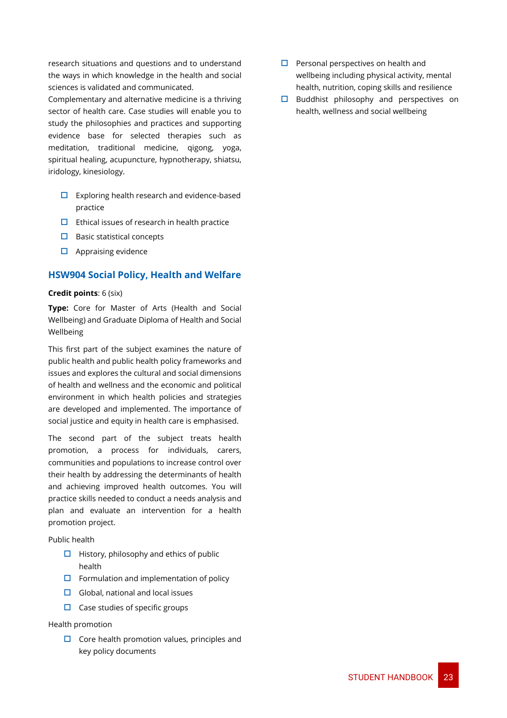research situations and questions and to understand the ways in which knowledge in the health and social sciences is validated and communicated.

Complementary and alternative medicine is a thriving sector of health care. Case studies will enable you to study the philosophies and practices and supporting evidence base for selected therapies such as meditation, traditional medicine, qigong, yoga, spiritual healing, acupuncture, hypnotherapy, shiatsu, iridology, kinesiology.

- $\Box$  Exploring health research and evidence-based practice
- $\Box$  Ethical issues of research in health practice
- $\square$  Basic statistical concepts
- $\Box$  Appraising evidence

### **HSW904 Social Policy, Health and Welfare**

### **Credit points**: 6 (six)

**Type:** Core for Master of Arts (Health and Social Wellbeing) and Graduate Diploma of Health and Social Wellbeing

This first part of the subject examines the nature of public health and public health policy frameworks and issues and explores the cultural and social dimensions of health and wellness and the economic and political environment in which health policies and strategies are developed and implemented. The importance of social justice and equity in health care is emphasised.

The second part of the subject treats health promotion, a process for individuals, carers, communities and populations to increase control over their health by addressing the determinants of health and achieving improved health outcomes. You will practice skills needed to conduct a needs analysis and plan and evaluate an intervention for a health promotion project.

Public health

- $\Box$  History, philosophy and ethics of public health
- $\Box$  Formulation and implementation of policy
- $\Box$  Global, national and local issues
- $\Box$  Case studies of specific groups

### Health promotion

 $\Box$  Core health promotion values, principles and key policy documents

- $\Box$  Personal perspectives on health and wellbeing including physical activity, mental health, nutrition, coping skills and resilience
- $\Box$  Buddhist philosophy and perspectives on health, wellness and social wellbeing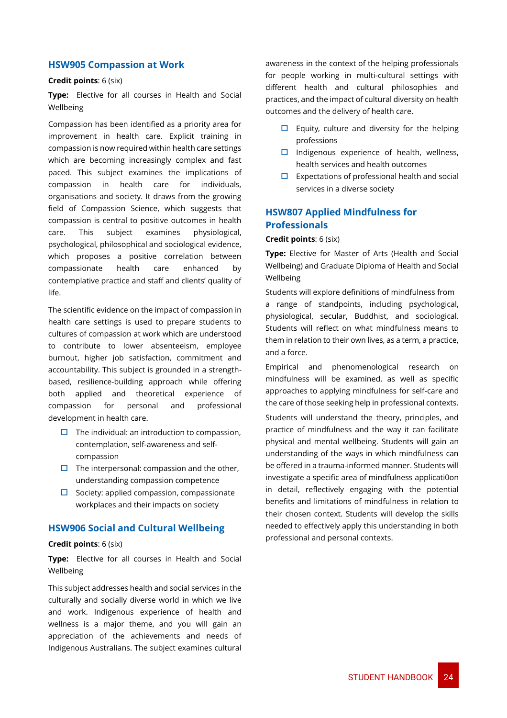### **HSW905 Compassion at Work**

#### **Credit points**: 6 (six)

**Type:** Elective for all courses in Health and Social Wellbeing

Compassion has been identified as a priority area for improvement in health care. Explicit training in compassion is now required within health care settings which are becoming increasingly complex and fast paced. This subject examines the implications of compassion in health care for individuals, organisations and society. It draws from the growing field of Compassion Science, which suggests that compassion is central to positive outcomes in health care. This subject examines physiological, psychological, philosophical and sociological evidence, which proposes a positive correlation between compassionate health care enhanced by contemplative practice and staff and clients' quality of life.

The scientific evidence on the impact of compassion in health care settings is used to prepare students to cultures of compassion at work which are understood to contribute to lower absenteeism, employee burnout, higher job satisfaction, commitment and accountability. This subject is grounded in a strengthbased, resilience-building approach while offering both applied and theoretical experience of compassion for personal and professional development in health care.

- $\Box$  The individual: an introduction to compassion, contemplation, self-awareness and selfcompassion
- $\Box$  The interpersonal: compassion and the other, understanding compassion competence
- $\square$  Society: applied compassion, compassionate workplaces and their impacts on society

### **HSW906 Social and Cultural Wellbeing**

### **Credit points**: 6 (six)

**Type:** Elective for all courses in Health and Social Wellbeing

This subject addresses health and social services in the culturally and socially diverse world in which we live and work. Indigenous experience of health and wellness is a major theme, and you will gain an appreciation of the achievements and needs of Indigenous Australians. The subject examines cultural awareness in the context of the helping professionals for people working in multi-cultural settings with different health and cultural philosophies and practices, and the impact of cultural diversity on health outcomes and the delivery of health care.

- $\Box$  Equity, culture and diversity for the helping professions
- $\Box$  Indigenous experience of health, wellness, health services and health outcomes
- $\Box$  Expectations of professional health and social services in a diverse society

### **HSW807 Applied Mindfulness for Professionals**

### **Credit points**: 6 (six)

**Type:** Elective for Master of Arts (Health and Social Wellbeing) and Graduate Diploma of Health and Social Wellbeing

Students will explore definitions of mindfulness from a range of standpoints, including psychological, physiological, secular, Buddhist, and sociological. Students will reflect on what mindfulness means to them in relation to their own lives, as a term, a practice, and a force.

Empirical and phenomenological research on mindfulness will be examined, as well as specific approaches to applying mindfulness for self-care and the care of those seeking help in professional contexts.

Students will understand the theory, principles, and practice of mindfulness and the way it can facilitate physical and mental wellbeing. Students will gain an understanding of the ways in which mindfulness can be offered in a trauma-informed manner. Students will investigate a specific area of mindfulness applicati0on in detail, reflectively engaging with the potential benefits and limitations of mindfulness in relation to their chosen context. Students will develop the skills needed to effectively apply this understanding in both professional and personal contexts.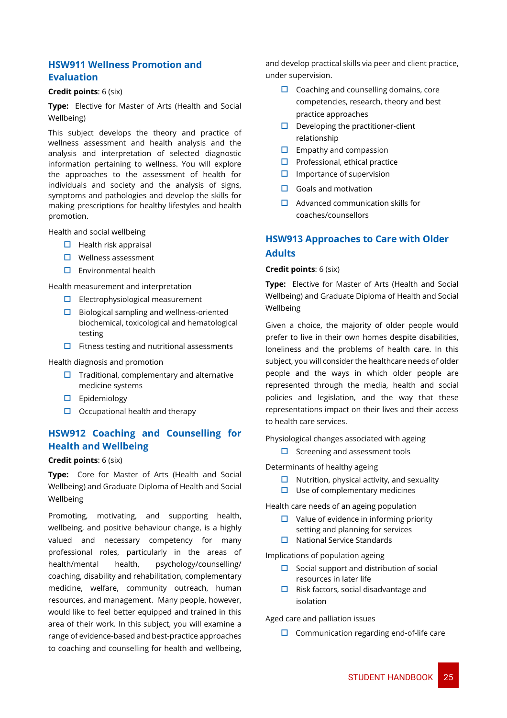### **HSW911 Wellness Promotion and Evaluation**

#### **Credit points**: 6 (six)

**Type:** Elective for Master of Arts (Health and Social Wellbeing)

This subject develops the theory and practice of wellness assessment and health analysis and the analysis and interpretation of selected diagnostic information pertaining to wellness. You will explore the approaches to the assessment of health for individuals and society and the analysis of signs, symptoms and pathologies and develop the skills for making prescriptions for healthy lifestyles and health promotion.

Health and social wellbeing

- $\Box$  Health risk appraisal
- $\Box$  Wellness assessment
- $\square$  Environmental health

Health measurement and interpretation

- $\Box$  Electrophysiological measurement
- $\Box$  Biological sampling and wellness-oriented biochemical, toxicological and hematological testing
- $\Box$  Fitness testing and nutritional assessments

#### Health diagnosis and promotion

- $\Box$  Traditional, complementary and alternative medicine systems
- $\square$  Epidemiology
- $\Box$  Occupational health and therapy

### **HSW912 Coaching and Counselling for Health and Wellbeing**

#### **Credit points**: 6 (six)

**Type:** Core for Master of Arts (Health and Social Wellbeing) and Graduate Diploma of Health and Social Wellbeing

Promoting, motivating, and supporting health, wellbeing, and positive behaviour change, is a highly valued and necessary competency for many professional roles, particularly in the areas of health/mental health, psychology/counselling/ coaching, disability and rehabilitation, complementary medicine, welfare, community outreach, human resources, and management. Many people, however, would like to feel better equipped and trained in this area of their work. In this subject, you will examine a range of evidence-based and best-practice approaches to coaching and counselling for health and wellbeing,

and develop practical skills via peer and client practice, under supervision.

- $\Box$  Coaching and counselling domains, core competencies, research, theory and best practice approaches
- $\Box$  Developing the practitioner-client relationship
- $\Box$  Empathy and compassion
- $\Box$  Professional, ethical practice
- $\square$  Importance of supervision
- $\Box$  Goals and motivation
- $\Box$  Advanced communication skills for coaches/counsellors

### **HSW913 Approaches to Care with Older Adults**

### **Credit points**: 6 (six)

**Type:** Elective for Master of Arts (Health and Social Wellbeing) and Graduate Diploma of Health and Social Wellbeing

Given a choice, the majority of older people would prefer to live in their own homes despite disabilities, loneliness and the problems of health care. In this subject, you will consider the healthcare needs of older people and the ways in which older people are represented through the media, health and social policies and legislation, and the way that these representations impact on their lives and their access to health care services.

Physiological changes associated with ageing

 $\Box$  Screening and assessment tools

Determinants of healthy ageing

- $\Box$  Nutrition, physical activity, and sexuality
- $\Box$  Use of complementary medicines

Health care needs of an ageing population

- $\Box$  Value of evidence in informing priority setting and planning for services
- $\Box$  National Service Standards

Implications of population ageing

- $\Box$  Social support and distribution of social resources in later life
- $\Box$  Risk factors, social disadvantage and isolation

Aged care and palliation issues

 $\Box$  Communication regarding end-of-life care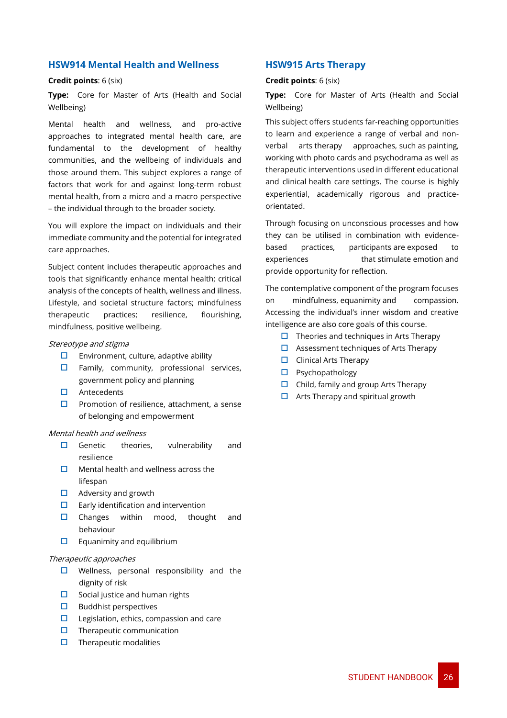### **HSW914 Mental Health and Wellness**

#### **Credit points**: 6 (six)

**Type:** Core for Master of Arts (Health and Social Wellbeing)

Mental health and wellness, and pro-active approaches to integrated mental health care, are fundamental to the development of healthy communities, and the wellbeing of individuals and those around them. This subject explores a range of factors that work for and against long-term robust mental health, from a micro and a macro perspective – the individual through to the broader society.

You will explore the impact on individuals and their immediate community and the potential for integrated care approaches.

Subject content includes therapeutic approaches and tools that significantly enhance mental health; critical analysis of the concepts of health, wellness and illness. Lifestyle, and societal structure factors; mindfulness therapeutic practices; resilience, flourishing, mindfulness, positive wellbeing.

#### Stereotype and stigma

- $\Box$  Environment, culture, adaptive ability
- $\Box$  Family, community, professional services, government policy and planning
- □ Antecedents
- $\square$  Promotion of resilience, attachment, a sense of belonging and empowerment

#### Mental health and wellness

- $\Box$  Genetic theories, vulnerability and resilience
- $\Box$  Mental health and wellness across the lifespan
- $\Box$  Adversity and growth
- $\Box$  Early identification and intervention
- $\Box$  Changes within mood, thought and behaviour
- $\Box$  Equanimity and equilibrium

#### Therapeutic approaches

- $\Box$  Wellness, personal responsibility and the dignity of risk
- $\square$  Social justice and human rights
- $\square$  Buddhist perspectives
- $\Box$  Legislation, ethics, compassion and care
- $\square$  Therapeutic communication
- $\Box$  Therapeutic modalities

### **HSW915 Arts Therapy**

### **Credit points**: 6 (six)

**Type:** Core for Master of Arts (Health and Social Wellbeing)

This subject offers students far-reaching opportunities to learn and experience a range of verbal and nonverbal arts therapy approaches, such as painting, working with photo cards and psychodrama as well as therapeutic interventions used in different educational and clinical health care settings. The course is highly experiential, academically rigorous and practiceorientated.

Through focusing on unconscious processes and how they can be utilised in combination with evidencebased practices, participants are exposed to experiences that stimulate emotion and provide opportunity for reflection.

The contemplative component of the program focuses on mindfulness, equanimity and compassion. Accessing the individual's inner wisdom and creative intelligence are also core goals of this course.

- $\Box$  Theories and techniques in Arts Therapy
- $\Box$  Assessment techniques of Arts Therapy
- $\Box$  Clinical Arts Therapy
- $\square$  Psychopathology
- $\Box$  Child, family and group Arts Therapy
- $\Box$  Arts Therapy and spiritual growth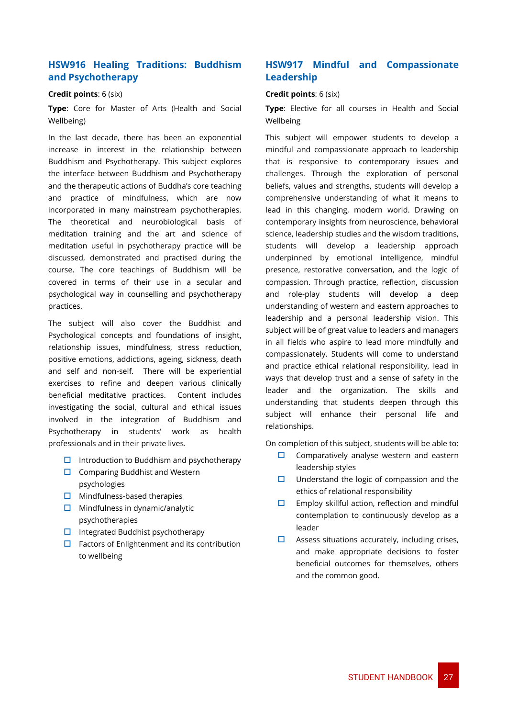### **HSW916 Healing Traditions: Buddhism and Psychotherapy**

### **Credit points**: 6 (six)

**Type**: Core for Master of Arts (Health and Social Wellbeing)

In the last decade, there has been an exponential increase in interest in the relationship between Buddhism and Psychotherapy. This subject explores the interface between Buddhism and Psychotherapy and the therapeutic actions of Buddha's core teaching and practice of mindfulness, which are now incorporated in many mainstream psychotherapies. The theoretical and neurobiological basis of meditation training and the art and science of meditation useful in psychotherapy practice will be discussed, demonstrated and practised during the course. The core teachings of Buddhism will be covered in terms of their use in a secular and psychological way in counselling and psychotherapy practices.

The subject will also cover the Buddhist and Psychological concepts and foundations of insight, relationship issues, mindfulness, stress reduction, positive emotions, addictions, ageing, sickness, death and self and non-self. There will be experiential exercises to refine and deepen various clinically beneficial meditative practices. Content includes investigating the social, cultural and ethical issues involved in the integration of Buddhism and Psychotherapy in students' work as health professionals and in their private lives.

- $\Box$  Introduction to Buddhism and psychotherapy
- $\Box$  Comparing Buddhist and Western psychologies
- $\Box$  Mindfulness-based therapies
- $\Box$  Mindfulness in dynamic/analytic psychotherapies
- $\Box$  Integrated Buddhist psychotherapy
- $\Box$  Factors of Enlightenment and its contribution to wellbeing

### **HSW917 Mindful and Compassionate Leadership**

#### **Credit points**: 6 (six)

**Type**: Elective for all courses in Health and Social Wellbeing

This subject will empower students to develop a mindful and compassionate approach to leadership that is responsive to contemporary issues and challenges. Through the exploration of personal beliefs, values and strengths, students will develop a comprehensive understanding of what it means to lead in this changing, modern world. Drawing on contemporary insights from neuroscience, behavioral science, leadership studies and the wisdom traditions, students will develop a leadership approach underpinned by emotional intelligence, mindful presence, restorative conversation, and the logic of compassion. Through practice, reflection, discussion and role-play students will develop a deep understanding of western and eastern approaches to leadership and a personal leadership vision. This subject will be of great value to leaders and managers in all fields who aspire to lead more mindfully and compassionately. Students will come to understand and practice ethical relational responsibility, lead in ways that develop trust and a sense of safety in the leader and the organization. The skills and understanding that students deepen through this subject will enhance their personal life and relationships.

On completion of this subject, students will be able to:

- $\square$  Comparatively analyse western and eastern leadership styles
- $\Box$  Understand the logic of compassion and the ethics of relational responsibility
- $\square$  Employ skillful action, reflection and mindful contemplation to continuously develop as a leader
- $\Box$  Assess situations accurately, including crises, and make appropriate decisions to foster beneficial outcomes for themselves, others and the common good.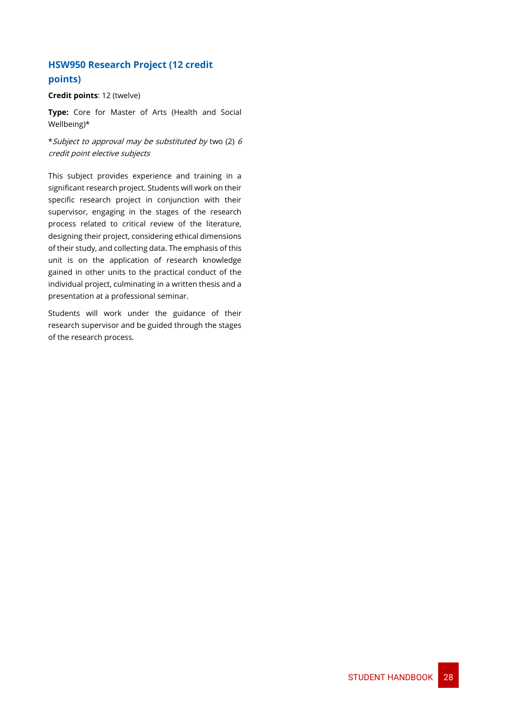### **HSW950 Research Project (12 credit points)**

### **Credit points**: 12 (twelve)

**Type:** Core for Master of Arts (Health and Social Wellbeing)\*

\*Subject to approval may be substituted by two (2) <sup>6</sup> credit point elective subjects

This subject provides experience and training in a significant research project. Students will work on their specific research project in conjunction with their supervisor, engaging in the stages of the research process related to critical review of the literature, designing their project, considering ethical dimensions of their study, and collecting data. The emphasis of this unit is on the application of research knowledge gained in other units to the practical conduct of the individual project, culminating in a written thesis and a presentation at a professional seminar.

Students will work under the guidance of their research supervisor and be guided through the stages of the research process.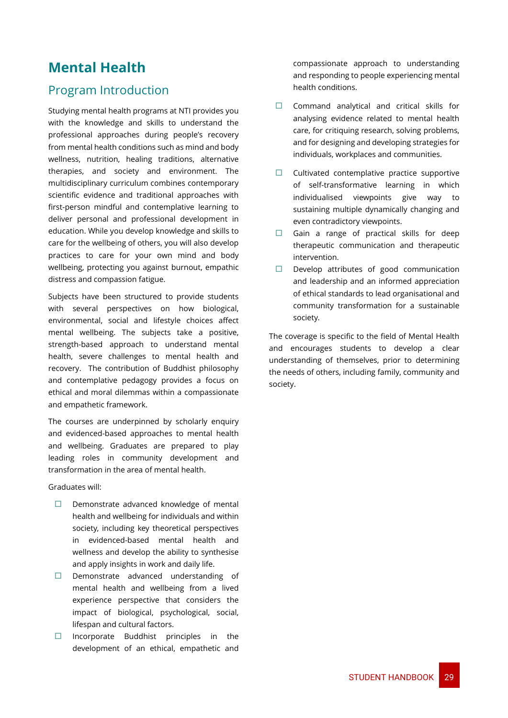# <span id="page-29-0"></span>**Mental Health**

### Program Introduction

Studying mental health programs at NTI provides you with the knowledge and skills to understand the professional approaches during people's recovery from mental health conditions such as mind and body wellness, nutrition, healing traditions, alternative therapies, and society and environment. The multidisciplinary curriculum combines contemporary scientific evidence and traditional approaches with first-person mindful and contemplative learning to deliver personal and professional development in education. While you develop knowledge and skills to care for the wellbeing of others, you will also develop practices to care for your own mind and body wellbeing, protecting you against burnout, empathic distress and compassion fatigue.

Subjects have been structured to provide students with several perspectives on how biological, environmental, social and lifestyle choices affect mental wellbeing. The subjects take a positive, strength-based approach to understand mental health, severe challenges to mental health and recovery. The contribution of Buddhist philosophy and contemplative pedagogy provides a focus on ethical and moral dilemmas within a compassionate and empathetic framework.

The courses are underpinned by scholarly enquiry and evidenced-based approaches to mental health and wellbeing. Graduates are prepared to play leading roles in community development and transformation in the area of mental health.

Graduates will:

- $\Box$  Demonstrate advanced knowledge of mental health and wellbeing for individuals and within society, including key theoretical perspectives in evidenced-based mental health and wellness and develop the ability to synthesise and apply insights in work and daily life.
- $\square$  Demonstrate advanced understanding of mental health and wellbeing from a lived experience perspective that considers the impact of biological, psychological, social, lifespan and cultural factors.
- $\Box$  Incorporate Buddhist principles in the development of an ethical, empathetic and

compassionate approach to understanding and responding to people experiencing mental health conditions.

- $\Box$  Command analytical and critical skills for analysing evidence related to mental health care, for critiquing research, solving problems, and for designing and developing strategies for individuals, workplaces and communities.
- $\Box$  Cultivated contemplative practice supportive of self-transformative learning in which individualised viewpoints give way to sustaining multiple dynamically changing and even contradictory viewpoints.
- Gain a range of practical skills for deep therapeutic communication and therapeutic intervention.
- $\Box$  Develop attributes of good communication and leadership and an informed appreciation of ethical standards to lead organisational and community transformation for a sustainable society.

The coverage is specific to the field of Mental Health and encourages students to develop a clear understanding of themselves, prior to determining the needs of others, including family, community and society.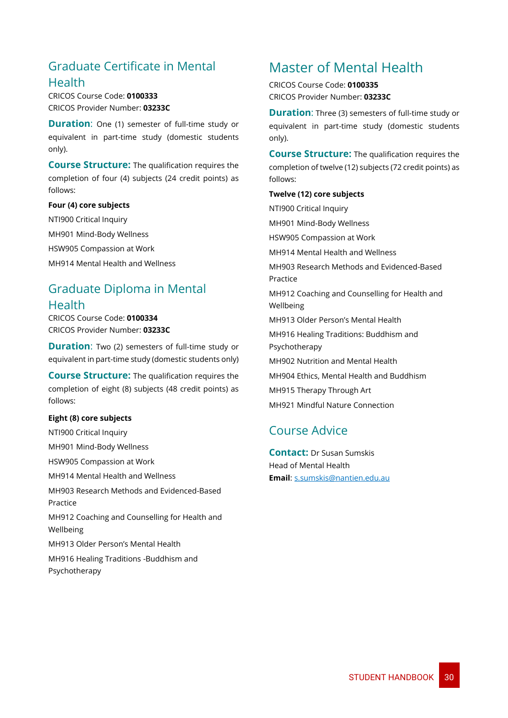### <span id="page-30-0"></span>Graduate Certificate in Mental Health

CRICOS Course Code: **0100333** CRICOS Provider Number: **03233C**

**Duration:** One (1) semester of full-time study or equivalent in part-time study (domestic students only).

**Course Structure:** The qualification requires the completion of four (4) subjects (24 credit points) as follows:

### **Four (4) core subjects**

NTI900 Critical Inquiry MH901 Mind-Body Wellness HSW905 Compassion at Work MH914 Mental Health and Wellness

# <span id="page-30-1"></span>Graduate Diploma in Mental

### **Health**

CRICOS Course Code: **0100334** CRICOS Provider Number: **03233C**

**Duration:** Two (2) semesters of full-time study or equivalent in part-time study (domestic students only)

**Course Structure:** The qualification requires the completion of eight (8) subjects (48 credit points) as follows:

### **Eight (8) core subjects**

NTI900 Critical Inquiry

MH901 Mind-Body Wellness

HSW905 Compassion at Work

MH914 Mental Health and Wellness

MH903 Research Methods and Evidenced-Based Practice

MH912 Coaching and Counselling for Health and Wellbeing

MH913 Older Person's Mental Health

MH916 Healing Traditions -Buddhism and Psychotherapy

# <span id="page-30-2"></span>Master of Mental Health

CRICOS Course Code: **0100335** CRICOS Provider Number: **03233C**

**Duration**: Three (3) semesters of full-time study or equivalent in part-time study (domestic students only).

**Course Structure:** The qualification requires the completion of twelve (12) subjects (72 credit points) as follows:

### **Twelve (12) core subjects**

NTI900 Critical Inquiry MH901 Mind-Body Wellness HSW905 Compassion at Work MH914 Mental Health and Wellness MH903 Research Methods and Evidenced-Based Practice MH912 Coaching and Counselling for Health and Wellbeing MH913 Older Person's Mental Health MH916 Healing Traditions: Buddhism and Psychotherapy MH902 Nutrition and Mental Health MH904 Ethics, Mental Health and Buddhism MH915 Therapy Through Art MH921 Mindful Nature Connection

### <span id="page-30-3"></span>Course Advice

**Contact:** Dr Susan Sumskis Head of Mental Health **Email**: s.sumskis@nantien.edu.au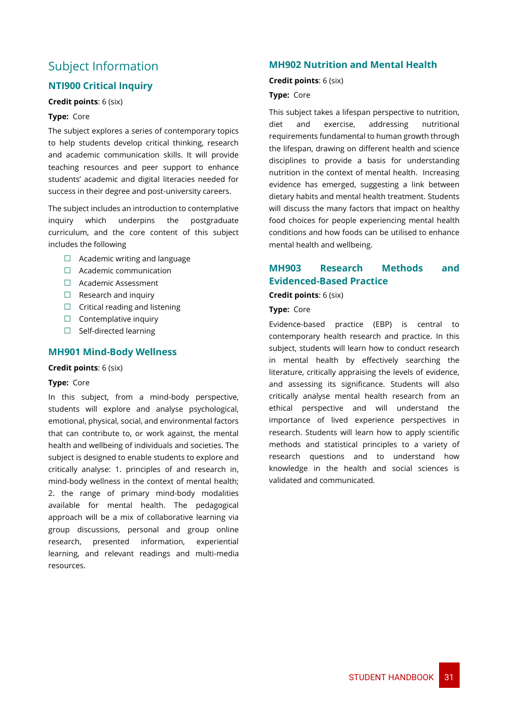### <span id="page-31-0"></span>Subject Information

### **NTI900 Critical Inquiry**

### **Credit points**: 6 (six)

### **Type:** Core

The subject explores a series of contemporary topics to help students develop critical thinking, research and academic communication skills. It will provide teaching resources and peer support to enhance students' academic and digital literacies needed for success in their degree and post-university careers.

The subject includes an introduction to contemplative inquiry which underpins the postgraduate curriculum, and the core content of this subject includes the following

- $\Box$  Academic writing and language
- $\Box$  Academic communication
- Academic Assessment
- $\Box$  Research and inquiry
- $\Box$  Critical reading and listening
- $\Box$  Contemplative inquiry
- $\Box$  Self-directed learning

### **MH901 Mind-Body Wellness**

### **Credit points**: 6 (six)

### **Type:** Core

In this subject, from a mind-body perspective, students will explore and analyse psychological, emotional, physical, social, and environmental factors that can contribute to, or work against, the mental health and wellbeing of individuals and societies. The subject is designed to enable students to explore and critically analyse: 1. principles of and research in, mind-body wellness in the context of mental health; 2. the range of primary mind-body modalities available for mental health. The pedagogical approach will be a mix of collaborative learning via group discussions, personal and group online research, presented information, experiential learning, and relevant readings and multi-media resources.

### **MH902 Nutrition and Mental Health**

#### **Credit points**: 6 (six)

### **Type:** Core

This subject takes a lifespan perspective to nutrition, diet and exercise, addressing nutritional requirements fundamental to human growth through the lifespan, drawing on different health and science disciplines to provide a basis for understanding nutrition in the context of mental health. Increasing evidence has emerged, suggesting a link between dietary habits and mental health treatment. Students will discuss the many factors that impact on healthy food choices for people experiencing mental health conditions and how foods can be utilised to enhance mental health and wellbeing.

### **MH903 Research Methods and Evidenced-Based Practice**

**Credit points**: 6 (six)

### **Type:** Core

Evidence-based practice (EBP) is central to contemporary health research and practice. In this subject, students will learn how to conduct research in mental health by effectively searching the literature, critically appraising the levels of evidence, and assessing its significance. Students will also critically analyse mental health research from an ethical perspective and will understand the importance of lived experience perspectives in research. Students will learn how to apply scientific methods and statistical principles to a variety of research questions and to understand how knowledge in the health and social sciences is validated and communicated.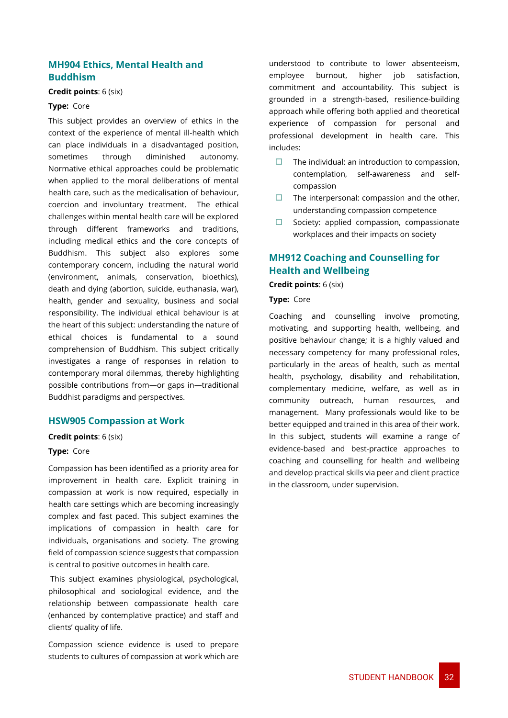### **MH904 Ethics, Mental Health and Buddhism**

### **Credit points**: 6 (six)

#### **Type:** Core

This subject provides an overview of ethics in the context of the experience of mental ill-health which can place individuals in a disadvantaged position, sometimes through diminished autonomy. Normative ethical approaches could be problematic when applied to the moral deliberations of mental health care, such as the medicalisation of behaviour, coercion and involuntary treatment. The ethical challenges within mental health care will be explored through different frameworks and traditions, including medical ethics and the core concepts of Buddhism. This subject also explores some contemporary concern, including the natural world (environment, animals, conservation, bioethics), death and dying (abortion, suicide, euthanasia, war), health, gender and sexuality, business and social responsibility. The individual ethical behaviour is at the heart of this subject: understanding the nature of ethical choices is fundamental to a sound comprehension of Buddhism. This subject critically investigates a range of responses in relation to contemporary moral dilemmas, thereby highlighting possible contributions from—or gaps in—traditional Buddhist paradigms and perspectives.

### **HSW905 Compassion at Work**

#### **Credit points**: 6 (six)

#### **Type:** Core

Compassion has been identified as a priority area for improvement in health care. Explicit training in compassion at work is now required, especially in health care settings which are becoming increasingly complex and fast paced. This subject examines the implications of compassion in health care for individuals, organisations and society. The growing field of compassion science suggests that compassion is central to positive outcomes in health care.

This subject examines physiological, psychological, philosophical and sociological evidence, and the relationship between compassionate health care (enhanced by contemplative practice) and staff and clients' quality of life.

Compassion science evidence is used to prepare students to cultures of compassion at work which are understood to contribute to lower absenteeism, employee burnout, higher job satisfaction, commitment and accountability. This subject is grounded in a strength-based, resilience-building approach while offering both applied and theoretical experience of compassion for personal and professional development in health care. This includes:

- $\Box$  The individual: an introduction to compassion, contemplation, self-awareness and selfcompassion
- $\Box$  The interpersonal: compassion and the other, understanding compassion competence
- $\Box$  Society: applied compassion, compassionate workplaces and their impacts on society

### **MH912 Coaching and Counselling for Health and Wellbeing**

**Credit points**: 6 (six)

**Type:** Core

Coaching and counselling involve promoting, motivating, and supporting health, wellbeing, and positive behaviour change; it is a highly valued and necessary competency for many professional roles, particularly in the areas of health, such as mental health, psychology, disability and rehabilitation, complementary medicine, welfare, as well as in community outreach, human resources, and management. Many professionals would like to be better equipped and trained in this area of their work. In this subject, students will examine a range of evidence-based and best-practice approaches to coaching and counselling for health and wellbeing and develop practical skills via peer and client practice in the classroom, under supervision.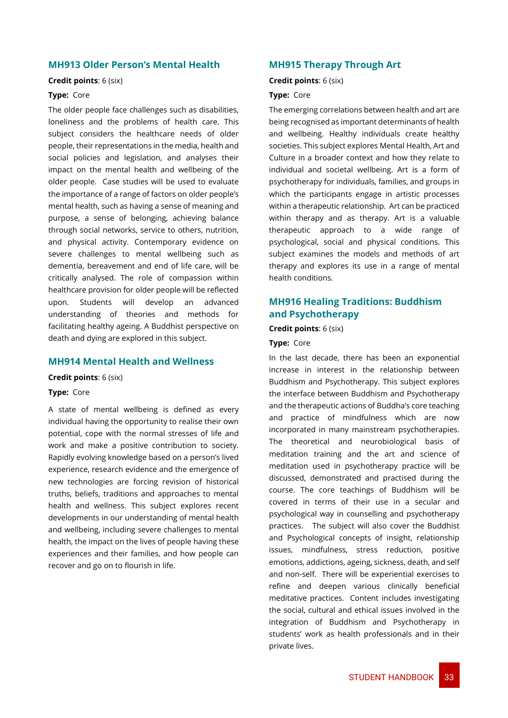### **MH913 Older Person's Mental Health**

#### **Credit points**: 6 (six)

### **Type:** Core

The older people face challenges such as disabilities, loneliness and the problems of health care. This subject considers the healthcare needs of older people, their representations in the media, health and social policies and legislation, and analyses their impact on the mental health and wellbeing of the older people. Case studies will be used to evaluate the importance of a range of factors on older people's mental health, such as having a sense of meaning and purpose, a sense of belonging, achieving balance through social networks, service to others, nutrition, and physical activity. Contemporary evidence on severe challenges to mental wellbeing such as dementia, bereavement and end of life care, will be critically analysed. The role of compassion within healthcare provision for older people will be reflected upon. Students will develop an advanced understanding of theories and methods for facilitating healthy ageing. A Buddhist perspective on death and dying are explored in this subject.

### **MH914 Mental Health and Wellness**

**Credit points**: 6 (six)

### **Type:** Core

A state of mental wellbeing is defined as every individual having the opportunity to realise their own potential, cope with the normal stresses of life and work and make a positive contribution to society. Rapidly evolving knowledge based on a person's lived experience, research evidence and the emergence of new technologies are forcing revision of historical truths, beliefs, traditions and approaches to mental health and wellness. This subject explores recent developments in our understanding of mental health and wellbeing, including severe challenges to mental health, the impact on the lives of people having these experiences and their families, and how people can recover and go on to flourish in life.

### **MH915 Therapy Through Art**

#### **Credit points**: 6 (six)

### **Type:** Core

The emerging correlations between health and art are being recognised as important determinants of health and wellbeing. Healthy individuals create healthy societies. This subject explores Mental Health, Art and Culture in a broader context and how they relate to individual and societal wellbeing. Art is a form of psychotherapy for individuals, families, and groups in which the participants engage in artistic processes within a therapeutic relationship. Art can be practiced within therapy and as therapy. Art is a valuable therapeutic approach to a wide range of psychological, social and physical conditions. This subject examines the models and methods of art therapy and explores its use in a range of mental health conditions.

### **MH916 Healing Traditions: Buddhism and Psychotherapy**

### **Credit points**: 6 (six)

### **Type:** Core

In the last decade, there has been an exponential increase in interest in the relationship between Buddhism and Psychotherapy. This subject explores the interface between Buddhism and Psychotherapy and the therapeutic actions of Buddha's core teaching and practice of mindfulness which are now incorporated in many mainstream psychotherapies. The theoretical and neurobiological basis of meditation training and the art and science of meditation used in psychotherapy practice will be discussed, demonstrated and practised during the course. The core teachings of Buddhism will be covered in terms of their use in a secular and psychological way in counselling and psychotherapy practices. The subject will also cover the Buddhist and Psychological concepts of insight, relationship issues, mindfulness, stress reduction, positive emotions, addictions, ageing, sickness, death, and self and non-self. There will be experiential exercises to refine and deepen various clinically beneficial meditative practices. Content includes investigating the social, cultural and ethical issues involved in the integration of Buddhism and Psychotherapy in students' work as health professionals and in their private lives.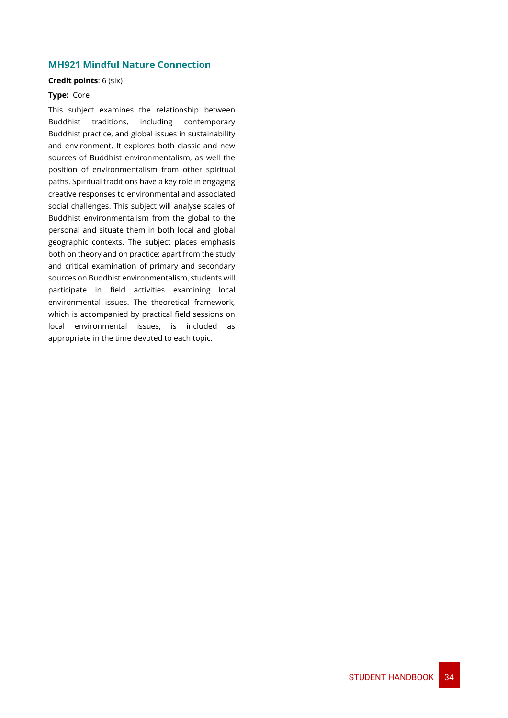### **MH921 Mindful Nature Connection**

### **Credit points**: 6 (six)

### **Type:** Core

This subject examines the relationship between Buddhist traditions, including contemporary Buddhist practice, and global issues in sustainability and environment. It explores both classic and new sources of Buddhist environmentalism, as well the position of environmentalism from other spiritual paths. Spiritual traditions have a key role in engaging creative responses to environmental and associated social challenges. This subject will analyse scales of Buddhist environmentalism from the global to the personal and situate them in both local and global geographic contexts. The subject places emphasis both on theory and on practice: apart from the study and critical examination of primary and secondary sources on Buddhist environmentalism, students will participate in field activities examining local environmental issues. The theoretical framework, which is accompanied by practical field sessions on local environmental issues, is included as appropriate in the time devoted to each topic.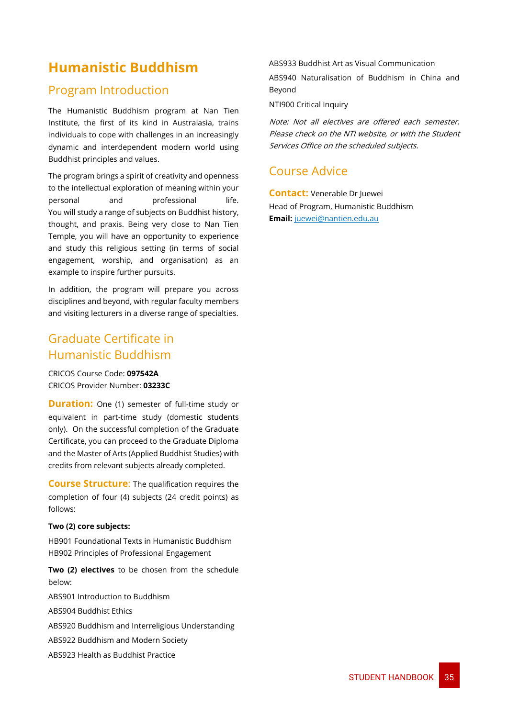# <span id="page-35-0"></span>**Humanistic Buddhism**

### <span id="page-35-1"></span>Program Introduction

The Humanistic Buddhism program at Nan Tien Institute, the first of its kind in Australasia, trains individuals to cope with challenges in an increasingly dynamic and interdependent modern world using Buddhist principles and values.

The program brings a spirit of creativity and openness to the intellectual exploration of meaning within your personal and professional life. You will study a range of subjects on Buddhist history, thought, and praxis. Being very close to Nan Tien Temple, you will have an opportunity to experience and study this religious setting (in terms of social engagement, worship, and organisation) as an example to inspire further pursuits.

In addition, the program will prepare you across disciplines and beyond, with [regular faculty members](https://www.nantien.edu.au/team-teachers)  [and visiting lecturers](https://www.nantien.edu.au/team-teachers) in a diverse range of specialties.

### <span id="page-35-2"></span>Graduate Certificate in Humanistic Buddhism

CRICOS Course Code: **097542A** CRICOS Provider Number: **03233C**

**Duration:** One (1) semester of full-time study or equivalent in part-time study (domestic students only). On the successful completion of the Graduate Certificate, you can proceed to the Graduate Diploma and the Master of Arts (Applied Buddhist Studies) with credits from relevant subjects already completed.

**Course Structure**: The qualification requires the completion of four (4) subjects (24 credit points) as follows:

### **Two (2) core subjects:**

HB901 Foundational Texts in Humanistic Buddhism HB902 Principles of Professional Engagement

**Two (2) electives** to be chosen from the schedule below:

ABS901 Introduction to Buddhism

ABS904 Buddhist Ethics

ABS920 Buddhism and Interreligious Understanding

ABS922 Buddhism and Modern Society

ABS923 Health as Buddhist Practice

ABS933 Buddhist Art as Visual Communication

ABS940 Naturalisation of Buddhism in China and Beyond

NTI900 Critical Inquiry

Note: Not all electives are offered each semester. Please check on the NTI website, or with the Student Services Office on the scheduled subjects.

### <span id="page-35-3"></span>Course Advice

**Contact:** Venerable Dr Juewei Head of Program, Humanistic Buddhism **Email:** [juewei@nantien.edu.au](mailto:juewei@nantien.edu.au)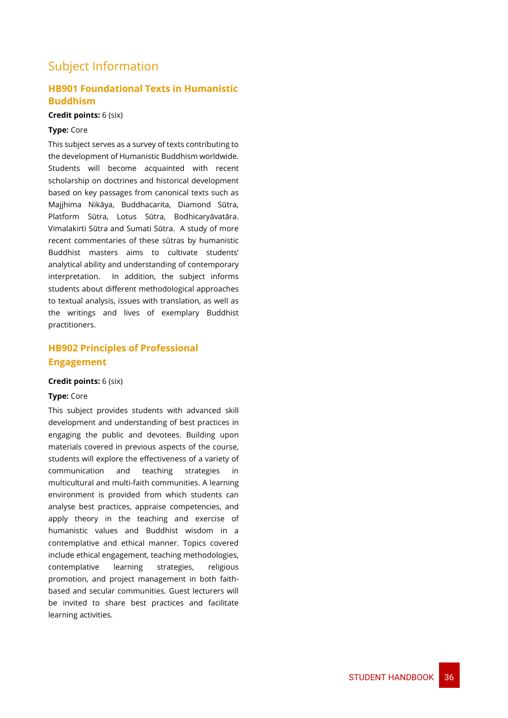### <span id="page-36-0"></span>Subject Information

### **HB901 Foundational Texts in Humanistic Buddhism**

### **Credit points:** 6 (six)

### **Type:** Core

This subject serves as a survey of texts contributing to the development of Humanistic Buddhism worldwide. Students will become acquainted with recent scholarship on doctrines and historical development based on key passages from canonical texts such as Majjhima Nikāya, Buddhacarita, Diamond Sūtra, Platform Sūtra, Lotus Sūtra, Bodhicaryāvatāra, Vimalakirti Sūtra and Sumati Sūtra. A study of more recent commentaries of these sūtras by humanistic Buddhist masters aims to cultivate students' analytical ability and understanding of contemporary interpretation. In addition, the subject informs students about different methodological approaches to textual analysis, issues with translation, as well as the writings and lives of exemplary Buddhist practitioners.

### **HB902 Principles of Professional Engagement**

### **Credit points:** 6 (six)

### **Type:** Core

This subject provides students with advanced skill development and understanding of best practices in engaging the public and devotees. Building upon materials covered in previous aspects of the course, students will explore the effectiveness of a variety of communication and teaching strategies in multicultural and multi-faith communities. A learning environment is provided from which students can analyse best practices, appraise competencies, and apply theory in the teaching and exercise of humanistic values and Buddhist wisdom in a contemplative and ethical manner. Topics covered include ethical engagement, teaching methodologies, contemplative learning strategies, religious promotion, and project management in both faithbased and secular communities. Guest lecturers will be invited to share best practices and facilitate learning activities.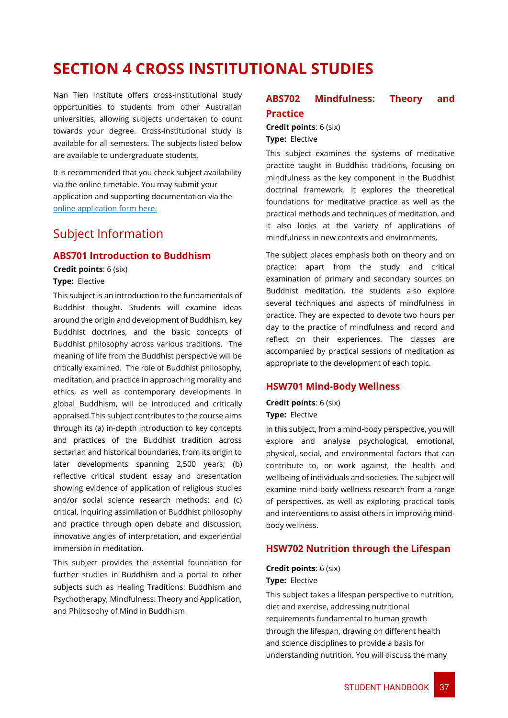# <span id="page-37-0"></span>**SECTION 4 CROSS INSTITUTIONAL STUDIES**

Nan Tien Institute offers cross-institutional study opportunities to students from other Australian universities, allowing subjects undertaken to count towards your degree. Cross-institutional study is available for all semesters. The subjects listed below are available to undergraduate students.

It is recommended that you check subject availability via the online timetable. You may submit your application and supporting documentation via the [online application form here.](https://www.nantien.edu.au/cross-institutional-students/)

### <span id="page-37-1"></span>Subject Information

### **ABS701 Introduction to Buddhism**

**Credit points**: 6 (six) **Type:** Elective

This subject is an introduction to the fundamentals of Buddhist thought. Students will examine ideas around the origin and development of Buddhism, key Buddhist doctrines, and the basic concepts of Buddhist philosophy across various traditions. The meaning of life from the Buddhist perspective will be critically examined. The role of Buddhist philosophy, meditation, and practice in approaching morality and ethics, as well as contemporary developments in global Buddhism, will be introduced and critically appraised.This subject contributes to the course aims through its (a) in-depth introduction to key concepts and practices of the Buddhist tradition across sectarian and historical boundaries, from its origin to later developments spanning 2,500 years; (b) reflective critical student essay and presentation showing evidence of application of religious studies and/or social science research methods; and (c) critical, inquiring assimilation of Buddhist philosophy and practice through open debate and discussion, innovative angles of interpretation, and experiential immersion in meditation.

This subject provides the essential foundation for further studies in Buddhism and a portal to other subjects such as Healing Traditions: Buddhism and Psychotherapy, Mindfulness: Theory and Application, and Philosophy of Mind in Buddhism

### **ABS702 Mindfulness: Theory and Practice**

**Credit points**: 6 (six) **Type:** Elective

This subject examines the systems of meditative practice taught in Buddhist traditions, focusing on mindfulness as the key component in the Buddhist doctrinal framework. It explores the theoretical foundations for meditative practice as well as the practical methods and techniques of meditation, and it also looks at the variety of applications of mindfulness in new contexts and environments.

The subject places emphasis both on theory and on practice: apart from the study and critical examination of primary and secondary sources on Buddhist meditation, the students also explore several techniques and aspects of mindfulness in practice. They are expected to devote two hours per day to the practice of mindfulness and record and reflect on their experiences. The classes are accompanied by practical sessions of meditation as appropriate to the development of each topic.

### **HSW701 Mind-Body Wellness**

**Credit points**: 6 (six) **Type:** Elective

In this subject, from a mind-body perspective, you will explore and analyse psychological, emotional, physical, social, and environmental factors that can contribute to, or work against, the health and wellbeing of individuals and societies. The subject will examine mind-body wellness research from a range of perspectives, as well as exploring practical tools and interventions to assist others in improving mindbody wellness.

### **HSW702 Nutrition through the Lifespan**

**Credit points**: 6 (six) **Type:** Elective

This subject takes a lifespan perspective to nutrition, diet and exercise, addressing nutritional requirements fundamental to human growth through the lifespan, drawing on different health and science disciplines to provide a basis for understanding nutrition. You will discuss the many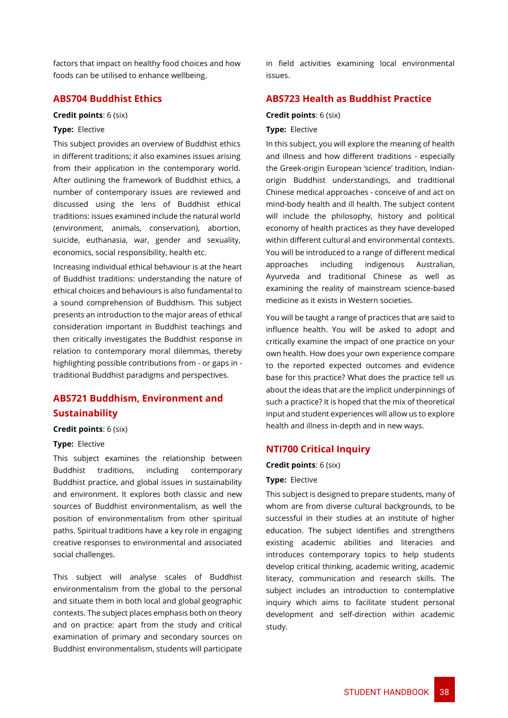factors that impact on healthy food choices and how foods can be utilised to enhance wellbeing.

### **ABS704 Buddhist Ethics**

#### **Credit points**: 6 (six)

### **Type:** Elective

This subject provides an overview of Buddhist ethics in different traditions; it also examines issues arising from their application in the contemporary world. After outlining the framework of Buddhist ethics, a number of contemporary issues are reviewed and discussed using the lens of Buddhist ethical traditions: issues examined include the natural world (environment, animals, conservation), abortion, suicide, euthanasia, war, gender and sexuality, economics, social responsibility, health etc.

Increasing individual ethical behaviour is at the heart of Buddhist traditions: understanding the nature of ethical choices and behaviours is also fundamental to a sound comprehension of Buddhism. This subject presents an introduction to the major areas of ethical consideration important in Buddhist teachings and then critically investigates the Buddhist response in relation to contemporary moral dilemmas, thereby highlighting possible contributions from - or gaps in traditional Buddhist paradigms and perspectives.

### **ABS721 Buddhism, Environment and Sustainability**

#### **Credit points**: 6 (six)

### **Type:** Elective

This subject examines the relationship between Buddhist traditions, including contemporary Buddhist practice, and global issues in sustainability and environment. It explores both classic and new sources of Buddhist environmentalism, as well the position of environmentalism from other spiritual paths. Spiritual traditions have a key role in engaging creative responses to environmental and associated social challenges.

This subject will analyse scales of Buddhist environmentalism from the global to the personal and situate them in both local and global geographic contexts. The subject places emphasis both on theory and on practice: apart from the study and critical examination of primary and secondary sources on Buddhist environmentalism, students will participate in field activities examining local environmental issues.

### **ABS723 Health as Buddhist Practice**

#### **Credit points**: 6 (six)

#### **Type:** Elective

In this subject, you will explore the meaning of health and illness and how different traditions - especially the Greek-origin European 'science' tradition, Indianorigin Buddhist understandings, and traditional Chinese medical approaches - conceive of and act on mind-body health and ill health. The subject content will include the philosophy, history and political economy of health practices as they have developed within different cultural and environmental contexts. You will be introduced to a range of different medical approaches including indigenous Australian, Ayurveda and traditional Chinese as well as examining the reality of mainstream science-based medicine as it exists in Western societies.

You will be taught a range of practices that are said to influence health. You will be asked to adopt and critically examine the impact of one practice on your own health. How does your own experience compare to the reported expected outcomes and evidence base for this practice? What does the practice tell us about the ideas that are the implicit underpinnings of such a practice? It is hoped that the mix of theoretical input and student experiences will allow us to explore health and illness in-depth and in new ways.

#### **NTI700 Critical Inquiry**

#### **Credit points**: 6 (six)

#### **Type:** Elective

This subject is designed to prepare students, many of whom are from diverse cultural backgrounds, to be successful in their studies at an institute of higher education. The subject identifies and strengthens existing academic abilities and literacies and introduces contemporary topics to help students develop critical thinking, academic writing, academic literacy, communication and research skills. The subject includes an introduction to contemplative inquiry which aims to facilitate student personal development and self-direction within academic study.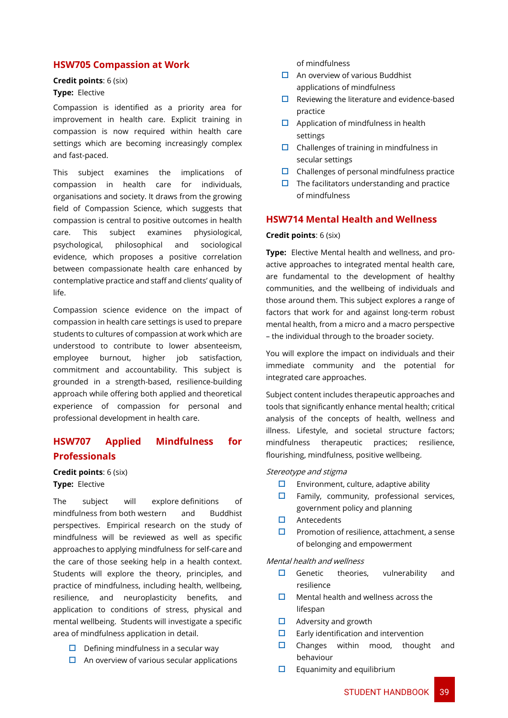### **HSW705 Compassion at Work**

#### **Credit points**: 6 (six) **Type:** Elective

Compassion is identified as a priority area for improvement in health care. Explicit training in compassion is now required within health care settings which are becoming increasingly complex and fast-paced.

This subject examines the implications of compassion in health care for individuals, organisations and society. It draws from the growing field of Compassion Science, which suggests that compassion is central to positive outcomes in health care. This subject examines physiological, psychological, philosophical and sociological evidence, which proposes a positive correlation between compassionate health care enhanced by contemplative practice and staff and clients' quality of life.

Compassion science evidence on the impact of compassion in health care settings is used to prepare students to cultures of compassion at work which are understood to contribute to lower absenteeism, employee burnout, higher job satisfaction, commitment and accountability. This subject is grounded in a strength-based, resilience-building approach while offering both applied and theoretical experience of compassion for personal and professional development in health care.

### **HSW707 Applied Mindfulness for Professionals**

**Credit points**: 6 (six) **Type:** Elective

The subject will explore definitions of mindfulness from both western and Buddhist perspectives. Empirical research on the study of mindfulness will be reviewed as well as specific approaches to applying mindfulness for self-care and the care of those seeking help in a health context. Students will explore the theory, principles, and practice of mindfulness, including health, wellbeing, resilience, and neuroplasticity benefits, and application to conditions of stress, physical and mental wellbeing. Students will investigate a specific area of mindfulness application in detail.

- $\Box$  Defining mindfulness in a secular way
- $\Box$  An overview of various secular applications

of mindfulness

- $\Box$  An overview of various Buddhist applications of mindfulness
- $\Box$  Reviewing the literature and evidence-based practice
- $\Box$  Application of mindfulness in health settings
- $\Box$  Challenges of training in mindfulness in secular settings
- $\Box$  Challenges of personal mindfulness practice
- $\Box$  The facilitators understanding and practice of mindfulness

### **HSW714 Mental Health and Wellness**

#### **Credit points**: 6 (six)

**Type:** Elective Mental health and wellness, and proactive approaches to integrated mental health care, are fundamental to the development of healthy communities, and the wellbeing of individuals and those around them. This subject explores a range of factors that work for and against long-term robust mental health, from a micro and a macro perspective – the individual through to the broader society.

You will explore the impact on individuals and their immediate community and the potential for integrated care approaches.

Subject content includes therapeutic approaches and tools that significantly enhance mental health; critical analysis of the concepts of health, wellness and illness. Lifestyle, and societal structure factors; mindfulness therapeutic practices; resilience, flourishing, mindfulness, positive wellbeing.

### Stereotype and stigma

- $\square$  Environment, culture, adaptive ability
- $\Box$  Family, community, professional services, government policy and planning
- Antecedents
- $\square$  Promotion of resilience, attachment, a sense of belonging and empowerment

### Mental health and wellness

- $\Box$  Genetic theories, vulnerability and resilience
- $\Box$  Mental health and wellness across the lifespan
- $\Box$  Adversity and growth
- $\Box$  Early identification and intervention
- **C** Changes within mood, thought and behaviour
- $\Box$  Equanimity and equilibrium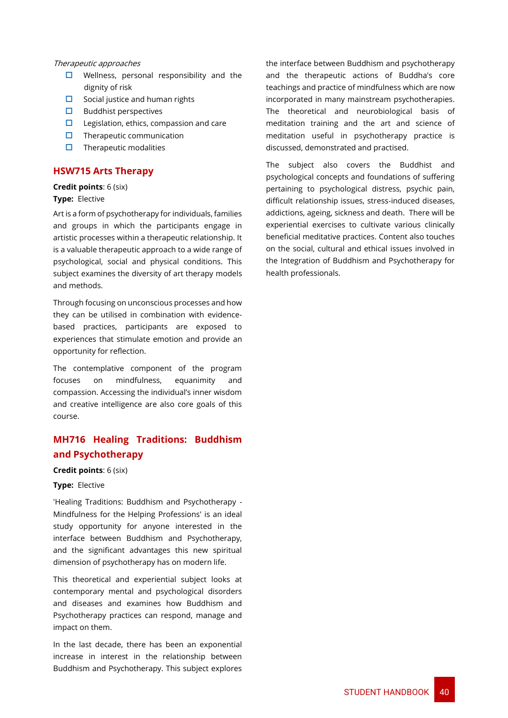#### Therapeutic approaches

- $\Box$  Wellness, personal responsibility and the dignity of risk
- $\square$  Social justice and human rights
- $\Box$  Buddhist perspectives
- $\Box$  Legislation, ethics, compassion and care
- $\Box$  Therapeutic communication
- $\Box$  Therapeutic modalities

### **HSW715 Arts Therapy**

### **Credit points**: 6 (six)

### **Type:** Elective

Art is a form of psychotherapy for individuals, families and groups in which the participants engage in artistic processes within a therapeutic relationship. It is a valuable therapeutic approach to a wide range of psychological, social and physical conditions. This subject examines the diversity of art therapy models and methods.

Through focusing on unconscious processes and how they can be utilised in combination with evidencebased practices, participants are exposed to experiences that stimulate emotion and provide an opportunity for reflection.

The contemplative component of the program focuses on mindfulness, equanimity and compassion. Accessing the individual's inner wisdom and creative intelligence are also core goals of this course.

### **MH716 Healing Traditions: Buddhism and Psychotherapy**

### **Credit points**: 6 (six)

### **Type:** Elective

'Healing Traditions: Buddhism and Psychotherapy - Mindfulness for the Helping Professions' is an ideal study opportunity for anyone interested in the interface between Buddhism and Psychotherapy, and the significant advantages this new spiritual dimension of psychotherapy has on modern life.

This theoretical and experiential subject looks at contemporary mental and psychological disorders and diseases and examines how Buddhism and Psychotherapy practices can respond, manage and impact on them.

In the last decade, there has been an exponential increase in interest in the relationship between Buddhism and Psychotherapy. This subject explores the interface between Buddhism and psychotherapy and the therapeutic actions of Buddha's core teachings and practice of mindfulness which are now incorporated in many mainstream psychotherapies. The theoretical and neurobiological basis of meditation training and the art and science of meditation useful in psychotherapy practice is discussed, demonstrated and practised.

The subject also covers the Buddhist and psychological concepts and foundations of suffering pertaining to psychological distress, psychic pain, difficult relationship issues, stress-induced diseases, addictions, ageing, sickness and death. There will be experiential exercises to cultivate various clinically beneficial meditative practices. Content also touches on the social, cultural and ethical issues involved in the Integration of Buddhism and Psychotherapy for health professionals.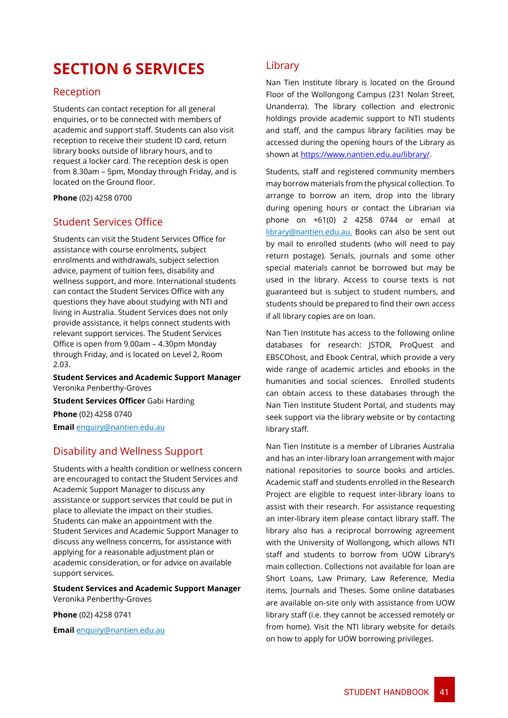# <span id="page-41-0"></span>**SECTION 6 SERVICES**

### <span id="page-41-1"></span>Reception

Students can contact reception for all general enquiries, or to be connected with members of academic and support staff. Students can also visit reception to receive their student ID card, return library books outside of library hours, and to request a locker card. The reception desk is open from 8.30am – 5pm, Monday through Friday, and is located on the Ground floor.

**Phone** (02) 4258 0700

### <span id="page-41-2"></span>Student Services Office

Students can visit the Student Services Office for assistance with course enrolments, subject enrolments and withdrawals, subject selection advice, payment of tuition fees, disability and wellness support, and more. International students can contact the Student Services Office with any questions they have about studying with NTI and living in Australia. Student Services does not only provide assistance, it helps connect students with relevant support services. The Student Services Office is open from 9.00am – 4.30pm Monday through Friday, and is located on Level 2, Room 2.03.

**Student Services and Academic Support Manager** Veronika Penberthy-Groves **Student Services Officer** Gabi Harding **Phone** (02) 4258 0740

**Email** enquiry@nantien.edu.au

### <span id="page-41-3"></span>Disability and Wellness Support

Students with a health condition or wellness concern are encouraged to contact the Student Services and Academic Support Manager to discuss any assistance or support services that could be put in place to alleviate the impact on their studies. Students can make an appointment with the Student Services and Academic Support Manager to discuss any wellness concerns, for assistance with applying for a reasonable adjustment plan or academic consideration, or for advice on available support services.

**Student Services and Academic Support Manager** Veronika Penberthy-Groves

**Phone** (02) 4258 0741

**Email** enquiry@nantien.edu.au

### <span id="page-41-4"></span>Library

Nan Tien Institute library is located on the Ground Floor of the Wollongong Campus (231 Nolan Street, Unanderra). The library collection and electronic holdings provide academic support to NTI students and staff, and the campus library facilities may be accessed during the opening hours of the Library as shown at https://www.nantien.edu.au/library/.

Students, staff and registered community members may borrow materials from the physical collection. To arrange to borrow an item, drop into the library during opening hours or contact the Librarian via phone on +61(0) 2 4258 0744 or email at library@nantien.edu.au. Books can also be sent out by mail to enrolled students (who will need to pay return postage). Serials, journals and some other special materials cannot be borrowed but may be used in the library. Access to course texts is not guaranteed but is subject to student numbers, and students should be prepared to find their own access if all library copies are on loan.

Nan Tien Institute has access to the following online databases for research: JSTOR, ProQuest and EBSCOhost, and Ebook Central, which provide a very wide range of academic articles and ebooks in the humanities and social sciences. Enrolled students can obtain access to these databases through the Nan Tien Institute Student Portal, and students may seek support via the library website or by contacting library staff.

Nan Tien Institute is a member of Libraries Australia and has an inter-library loan arrangement with major national repositories to source books and articles. Academic staff and students enrolled in the Research Project are eligible to request inter-library loans to assist with their research. For assistance requesting an inter-library item please contact library staff. The library also has a reciprocal borrowing agreement with the University of Wollongong, which allows NTI staff and students to borrow from UOW Library's main collection. Collections not available for loan are Short Loans, Law Primary, Law Reference, Media items, Journals and Theses. Some online databases are available on-site only with assistance from UOW library staff (i.e. they cannot be accessed remotely or from home). Visit the NTI library website for details on how to apply for UOW borrowing privileges.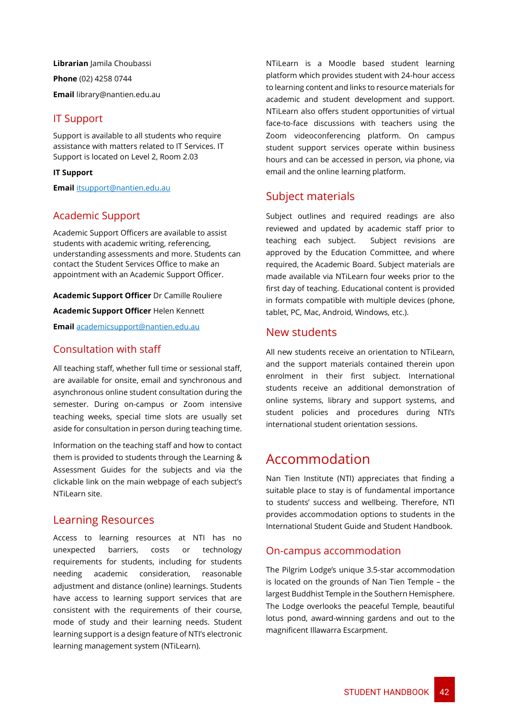**Librarian** Jamila Choubassi **Phone** (02) 4258 0744 **Email** library@nantien.edu.au

### <span id="page-42-0"></span>IT Support

Support is available to all students who require assistance with matters related to IT Services. IT Support is located on Level 2, Room 2.03

### **IT Support**

**Email** itsupport@nantien.edu.au

### <span id="page-42-1"></span>Academic Support

Academic Support Officers are available to assist students with academic writing, referencing, understanding assessments and more. Students can contact the Student Services Office to make an appointment with an Academic Support Officer.

**Academic Support Officer** Dr Camille Rouliere

**Academic Support Officer** Helen Kennett

**Email** academicsupport@nantien.edu.au

### Consultation with staff

All teaching staff, whether full time or sessional staff, are available for onsite, email and synchronous and asynchronous online student consultation during the semester. During on-campus or Zoom intensive teaching weeks, special time slots are usually set aside for consultation in person during teaching time.

Information on the teaching staff and how to contact them is provided to students through the Learning & Assessment Guides for the subjects and via the clickable link on the main webpage of each subject's NTiLearn site.

### <span id="page-42-2"></span>Learning Resources

Access to learning resources at NTI has no unexpected barriers, costs or technology requirements for students, including for students needing academic consideration, reasonable adjustment and distance (online) learnings. Students have access to learning support services that are consistent with the requirements of their course, mode of study and their learning needs. Student learning support is a design feature of NTI's electronic learning management system (NTiLearn).

NTiLearn is a Moodle based student learning platform which provides student with 24-hour access to learning content and links to resource materials for academic and student development and support. NTiLearn also offers student opportunities of virtual face-to-face discussions with teachers using the Zoom videoconferencing platform. On campus student support services operate within business hours and can be accessed in person, via phone, via email and the online learning platform.

### Subject materials

Subject outlines and required readings are also reviewed and updated by academic staff prior to teaching each subject. Subject revisions are approved by the Education Committee, and where required, the Academic Board. Subject materials are made available via NTiLearn four weeks prior to the first day of teaching. Educational content is provided in formats compatible with multiple devices (phone, tablet, PC, Mac, Android, Windows, etc.).

### New students

All new students receive an orientation to NTiLearn, and the support materials contained therein upon enrolment in their first subject. International students receive an additional demonstration of online systems, library and support systems, and student policies and procedures during NTI's international student orientation sessions.

# <span id="page-42-3"></span>Accommodation

Nan Tien Institute (NTI) appreciates that finding a suitable place to stay is of fundamental importance to students' success and wellbeing. Therefore, NTI provides accommodation options to students in the International Student Guide and Student Handbook.

### On-campus accommodation

The Pilgrim Lodge's unique 3.5-star accommodation is located on the grounds of Nan Tien Temple – the largest Buddhist Temple in the Southern Hemisphere. The Lodge overlooks the peaceful Temple, beautiful lotus pond, award-winning gardens and out to the magnificent Illawarra Escarpment.